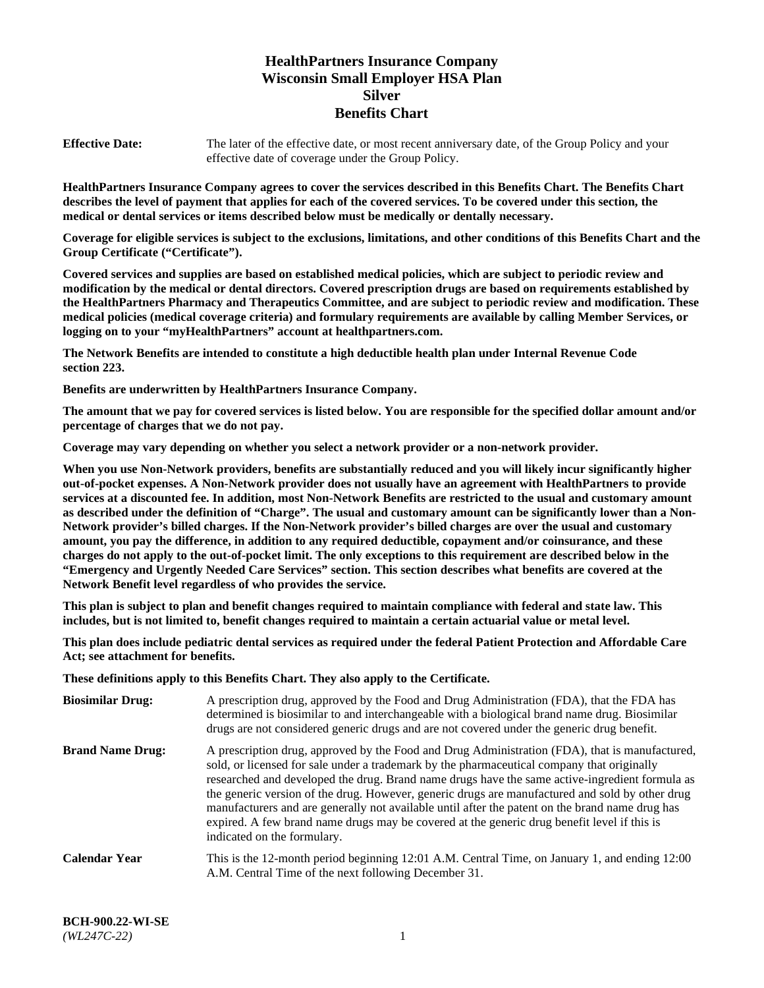# **HealthPartners Insurance Company Wisconsin Small Employer HSA Plan Silver Benefits Chart**

**Effective Date:** The later of the effective date, or most recent anniversary date, of the Group Policy and your effective date of coverage under the Group Policy.

**HealthPartners Insurance Company agrees to cover the services described in this Benefits Chart. The Benefits Chart describes the level of payment that applies for each of the covered services. To be covered under this section, the medical or dental services or items described below must be medically or dentally necessary.**

**Coverage for eligible services is subject to the exclusions, limitations, and other conditions of this Benefits Chart and the Group Certificate ("Certificate").**

**Covered services and supplies are based on established medical policies, which are subject to periodic review and modification by the medical or dental directors. Covered prescription drugs are based on requirements established by the HealthPartners Pharmacy and Therapeutics Committee, and are subject to periodic review and modification. These medical policies (medical coverage criteria) and formulary requirements are available by calling Member Services, or logging on to your "myHealthPartners" account at [healthpartners.com.](https://www.healthpartners.com/hp/index.html)** 

**The Network Benefits are intended to constitute a high deductible health plan under Internal Revenue Code section 223.**

**Benefits are underwritten by HealthPartners Insurance Company.**

**The amount that we pay for covered services is listed below. You are responsible for the specified dollar amount and/or percentage of charges that we do not pay.**

**Coverage may vary depending on whether you select a network provider or a non-network provider.**

**When you use Non-Network providers, benefits are substantially reduced and you will likely incur significantly higher out-of-pocket expenses. A Non-Network provider does not usually have an agreement with HealthPartners to provide services at a discounted fee. In addition, most Non-Network Benefits are restricted to the usual and customary amount as described under the definition of "Charge". The usual and customary amount can be significantly lower than a Non-Network provider's billed charges. If the Non-Network provider's billed charges are over the usual and customary amount, you pay the difference, in addition to any required deductible, copayment and/or coinsurance, and these charges do not apply to the out-of-pocket limit. The only exceptions to this requirement are described below in the "Emergency and Urgently Needed Care Services" section. This section describes what benefits are covered at the Network Benefit level regardless of who provides the service.**

**This plan is subject to plan and benefit changes required to maintain compliance with federal and state law. This includes, but is not limited to, benefit changes required to maintain a certain actuarial value or metal level.**

**This plan does include pediatric dental services as required under the federal Patient Protection and Affordable Care Act; see attachment for benefits.**

**These definitions apply to this Benefits Chart. They also apply to the Certificate.**

| <b>Biosimilar Drug:</b> | A prescription drug, approved by the Food and Drug Administration (FDA), that the FDA has<br>determined is biosimilar to and interchangeable with a biological brand name drug. Biosimilar<br>drugs are not considered generic drugs and are not covered under the generic drug benefit.                                                                                                                                                                                                                                                                                                                                           |
|-------------------------|------------------------------------------------------------------------------------------------------------------------------------------------------------------------------------------------------------------------------------------------------------------------------------------------------------------------------------------------------------------------------------------------------------------------------------------------------------------------------------------------------------------------------------------------------------------------------------------------------------------------------------|
| <b>Brand Name Drug:</b> | A prescription drug, approved by the Food and Drug Administration (FDA), that is manufactured,<br>sold, or licensed for sale under a trademark by the pharmaceutical company that originally<br>researched and developed the drug. Brand name drugs have the same active-ingredient formula as<br>the generic version of the drug. However, generic drugs are manufactured and sold by other drug<br>manufacturers and are generally not available until after the patent on the brand name drug has<br>expired. A few brand name drugs may be covered at the generic drug benefit level if this is<br>indicated on the formulary. |
| <b>Calendar Year</b>    | This is the 12-month period beginning 12:01 A.M. Central Time, on January 1, and ending 12:00<br>A.M. Central Time of the next following December 31.                                                                                                                                                                                                                                                                                                                                                                                                                                                                              |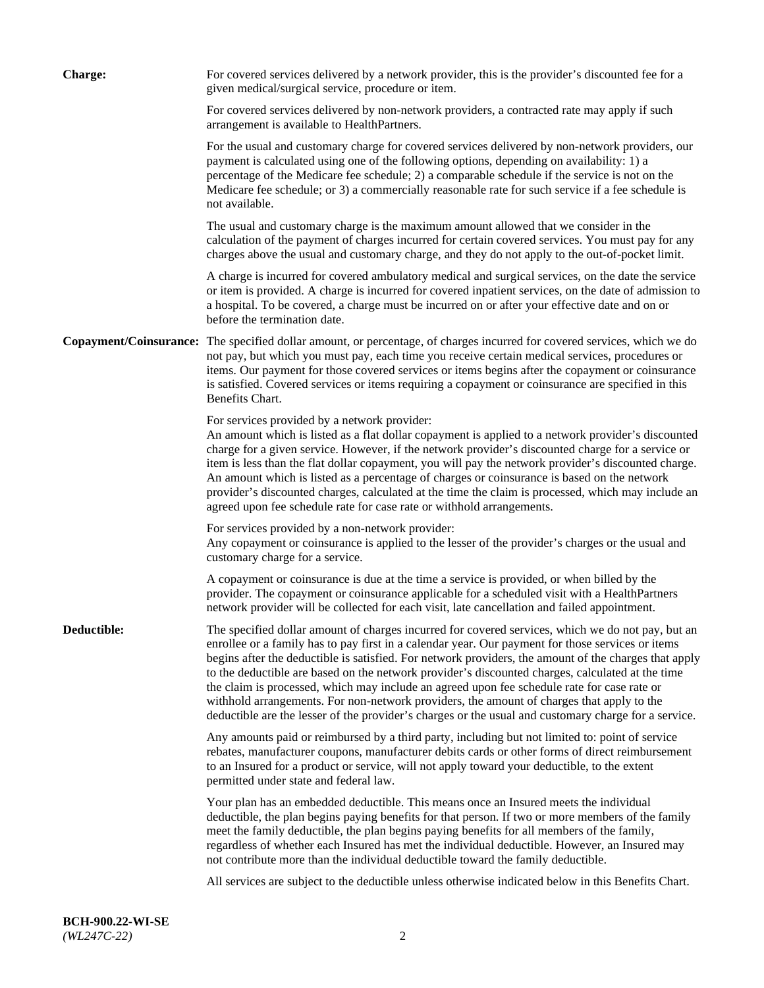| <b>Charge:</b> | For covered services delivered by a network provider, this is the provider's discounted fee for a<br>given medical/surgical service, procedure or item.                                                                                                                                                                                                                                                                                                                                                                                                                                                                                                                                                                 |
|----------------|-------------------------------------------------------------------------------------------------------------------------------------------------------------------------------------------------------------------------------------------------------------------------------------------------------------------------------------------------------------------------------------------------------------------------------------------------------------------------------------------------------------------------------------------------------------------------------------------------------------------------------------------------------------------------------------------------------------------------|
|                | For covered services delivered by non-network providers, a contracted rate may apply if such<br>arrangement is available to HealthPartners.                                                                                                                                                                                                                                                                                                                                                                                                                                                                                                                                                                             |
|                | For the usual and customary charge for covered services delivered by non-network providers, our<br>payment is calculated using one of the following options, depending on availability: 1) a<br>percentage of the Medicare fee schedule; 2) a comparable schedule if the service is not on the<br>Medicare fee schedule; or 3) a commercially reasonable rate for such service if a fee schedule is<br>not available.                                                                                                                                                                                                                                                                                                   |
|                | The usual and customary charge is the maximum amount allowed that we consider in the<br>calculation of the payment of charges incurred for certain covered services. You must pay for any<br>charges above the usual and customary charge, and they do not apply to the out-of-pocket limit.                                                                                                                                                                                                                                                                                                                                                                                                                            |
|                | A charge is incurred for covered ambulatory medical and surgical services, on the date the service<br>or item is provided. A charge is incurred for covered inpatient services, on the date of admission to<br>a hospital. To be covered, a charge must be incurred on or after your effective date and on or<br>before the termination date.                                                                                                                                                                                                                                                                                                                                                                           |
|                | Copayment/Coinsurance: The specified dollar amount, or percentage, of charges incurred for covered services, which we do<br>not pay, but which you must pay, each time you receive certain medical services, procedures or<br>items. Our payment for those covered services or items begins after the copayment or coinsurance<br>is satisfied. Covered services or items requiring a copayment or coinsurance are specified in this<br>Benefits Chart.                                                                                                                                                                                                                                                                 |
|                | For services provided by a network provider:<br>An amount which is listed as a flat dollar copayment is applied to a network provider's discounted<br>charge for a given service. However, if the network provider's discounted charge for a service or<br>item is less than the flat dollar copayment, you will pay the network provider's discounted charge.<br>An amount which is listed as a percentage of charges or coinsurance is based on the network<br>provider's discounted charges, calculated at the time the claim is processed, which may include an<br>agreed upon fee schedule rate for case rate or withhold arrangements.                                                                            |
|                | For services provided by a non-network provider:<br>Any copayment or coinsurance is applied to the lesser of the provider's charges or the usual and<br>customary charge for a service.                                                                                                                                                                                                                                                                                                                                                                                                                                                                                                                                 |
|                | A copayment or coinsurance is due at the time a service is provided, or when billed by the<br>provider. The copayment or coinsurance applicable for a scheduled visit with a HealthPartners<br>network provider will be collected for each visit, late cancellation and failed appointment.                                                                                                                                                                                                                                                                                                                                                                                                                             |
| Deductible:    | The specified dollar amount of charges incurred for covered services, which we do not pay, but an<br>enrollee or a family has to pay first in a calendar year. Our payment for those services or items<br>begins after the deductible is satisfied. For network providers, the amount of the charges that apply<br>to the deductible are based on the network provider's discounted charges, calculated at the time<br>the claim is processed, which may include an agreed upon fee schedule rate for case rate or<br>withhold arrangements. For non-network providers, the amount of charges that apply to the<br>deductible are the lesser of the provider's charges or the usual and customary charge for a service. |
|                | Any amounts paid or reimbursed by a third party, including but not limited to: point of service<br>rebates, manufacturer coupons, manufacturer debits cards or other forms of direct reimbursement<br>to an Insured for a product or service, will not apply toward your deductible, to the extent<br>permitted under state and federal law.                                                                                                                                                                                                                                                                                                                                                                            |
|                | Your plan has an embedded deductible. This means once an Insured meets the individual<br>deductible, the plan begins paying benefits for that person. If two or more members of the family<br>meet the family deductible, the plan begins paying benefits for all members of the family,<br>regardless of whether each Insured has met the individual deductible. However, an Insured may<br>not contribute more than the individual deductible toward the family deductible.                                                                                                                                                                                                                                           |
|                | All services are subject to the deductible unless otherwise indicated below in this Benefits Chart.                                                                                                                                                                                                                                                                                                                                                                                                                                                                                                                                                                                                                     |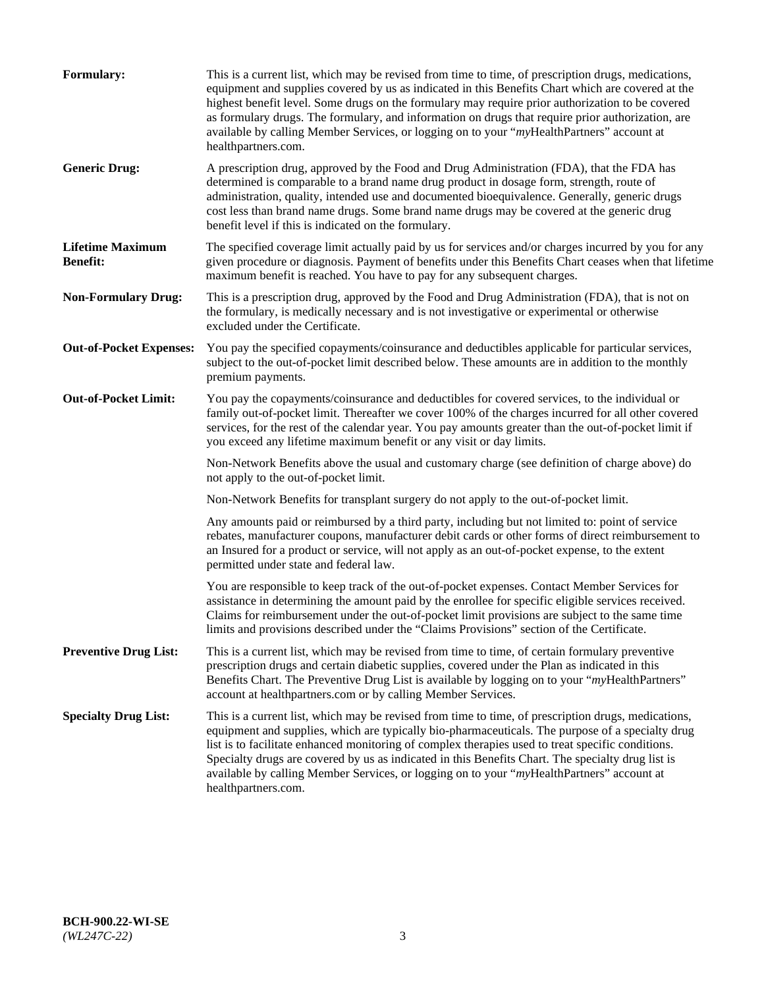| <b>Formulary:</b>                          | This is a current list, which may be revised from time to time, of prescription drugs, medications,<br>equipment and supplies covered by us as indicated in this Benefits Chart which are covered at the<br>highest benefit level. Some drugs on the formulary may require prior authorization to be covered<br>as formulary drugs. The formulary, and information on drugs that require prior authorization, are<br>available by calling Member Services, or logging on to your "myHealthPartners" account at<br>healthpartners.com. |
|--------------------------------------------|---------------------------------------------------------------------------------------------------------------------------------------------------------------------------------------------------------------------------------------------------------------------------------------------------------------------------------------------------------------------------------------------------------------------------------------------------------------------------------------------------------------------------------------|
| <b>Generic Drug:</b>                       | A prescription drug, approved by the Food and Drug Administration (FDA), that the FDA has<br>determined is comparable to a brand name drug product in dosage form, strength, route of<br>administration, quality, intended use and documented bioequivalence. Generally, generic drugs<br>cost less than brand name drugs. Some brand name drugs may be covered at the generic drug<br>benefit level if this is indicated on the formulary.                                                                                           |
| <b>Lifetime Maximum</b><br><b>Benefit:</b> | The specified coverage limit actually paid by us for services and/or charges incurred by you for any<br>given procedure or diagnosis. Payment of benefits under this Benefits Chart ceases when that lifetime<br>maximum benefit is reached. You have to pay for any subsequent charges.                                                                                                                                                                                                                                              |
| <b>Non-Formulary Drug:</b>                 | This is a prescription drug, approved by the Food and Drug Administration (FDA), that is not on<br>the formulary, is medically necessary and is not investigative or experimental or otherwise<br>excluded under the Certificate.                                                                                                                                                                                                                                                                                                     |
| <b>Out-of-Pocket Expenses:</b>             | You pay the specified copayments/coinsurance and deductibles applicable for particular services,<br>subject to the out-of-pocket limit described below. These amounts are in addition to the monthly<br>premium payments.                                                                                                                                                                                                                                                                                                             |
| <b>Out-of-Pocket Limit:</b>                | You pay the copayments/coinsurance and deductibles for covered services, to the individual or<br>family out-of-pocket limit. Thereafter we cover 100% of the charges incurred for all other covered<br>services, for the rest of the calendar year. You pay amounts greater than the out-of-pocket limit if<br>you exceed any lifetime maximum benefit or any visit or day limits.                                                                                                                                                    |
|                                            | Non-Network Benefits above the usual and customary charge (see definition of charge above) do<br>not apply to the out-of-pocket limit.                                                                                                                                                                                                                                                                                                                                                                                                |
|                                            | Non-Network Benefits for transplant surgery do not apply to the out-of-pocket limit.                                                                                                                                                                                                                                                                                                                                                                                                                                                  |
|                                            | Any amounts paid or reimbursed by a third party, including but not limited to: point of service<br>rebates, manufacturer coupons, manufacturer debit cards or other forms of direct reimbursement to<br>an Insured for a product or service, will not apply as an out-of-pocket expense, to the extent<br>permitted under state and federal law.                                                                                                                                                                                      |
|                                            | You are responsible to keep track of the out-of-pocket expenses. Contact Member Services for<br>assistance in determining the amount paid by the enrollee for specific eligible services received.<br>Claims for reimbursement under the out-of-pocket limit provisions are subject to the same time<br>limits and provisions described under the "Claims Provisions" section of the Certificate.                                                                                                                                     |
| <b>Preventive Drug List:</b>               | This is a current list, which may be revised from time to time, of certain formulary preventive<br>prescription drugs and certain diabetic supplies, covered under the Plan as indicated in this<br>Benefits Chart. The Preventive Drug List is available by logging on to your "myHealthPartners"<br>account at healthpartners.com or by calling Member Services.                                                                                                                                                                    |
| <b>Specialty Drug List:</b>                | This is a current list, which may be revised from time to time, of prescription drugs, medications,<br>equipment and supplies, which are typically bio-pharmaceuticals. The purpose of a specialty drug<br>list is to facilitate enhanced monitoring of complex therapies used to treat specific conditions.<br>Specialty drugs are covered by us as indicated in this Benefits Chart. The specialty drug list is<br>available by calling Member Services, or logging on to your "myHealthPartners" account at<br>healthpartners.com. |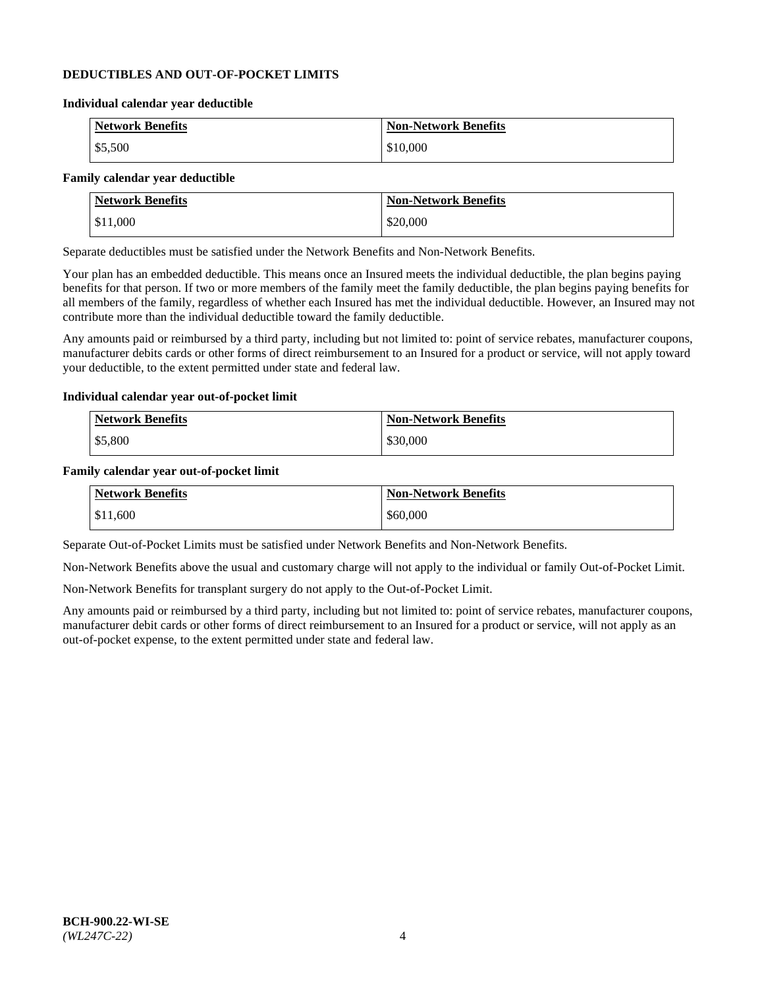### **DEDUCTIBLES AND OUT-OF-POCKET LIMITS**

#### **Individual calendar year deductible**

| <b>Network Benefits</b> | <b>Non-Network Benefits</b> |
|-------------------------|-----------------------------|
| \$5,500                 | \$10,000                    |

### **Family calendar year deductible**

| <b>Network Benefits</b> | <b>Non-Network Benefits</b> |
|-------------------------|-----------------------------|
| \$11,000                | \$20,000                    |

Separate deductibles must be satisfied under the Network Benefits and Non-Network Benefits.

Your plan has an embedded deductible. This means once an Insured meets the individual deductible, the plan begins paying benefits for that person. If two or more members of the family meet the family deductible, the plan begins paying benefits for all members of the family, regardless of whether each Insured has met the individual deductible. However, an Insured may not contribute more than the individual deductible toward the family deductible.

Any amounts paid or reimbursed by a third party, including but not limited to: point of service rebates, manufacturer coupons, manufacturer debits cards or other forms of direct reimbursement to an Insured for a product or service, will not apply toward your deductible, to the extent permitted under state and federal law.

#### **Individual calendar year out-of-pocket limit**

| Network Benefits | <b>Non-Network Benefits</b> |
|------------------|-----------------------------|
| \$5,800          | \$30,000                    |

#### **Family calendar year out-of-pocket limit**

| <b>Network Benefits</b> | <b>Non-Network Benefits</b> |
|-------------------------|-----------------------------|
| $\$11,600$              | \$60,000                    |

Separate Out-of-Pocket Limits must be satisfied under Network Benefits and Non-Network Benefits.

Non-Network Benefits above the usual and customary charge will not apply to the individual or family Out-of-Pocket Limit.

Non-Network Benefits for transplant surgery do not apply to the Out-of-Pocket Limit.

Any amounts paid or reimbursed by a third party, including but not limited to: point of service rebates, manufacturer coupons, manufacturer debit cards or other forms of direct reimbursement to an Insured for a product or service, will not apply as an out-of-pocket expense, to the extent permitted under state and federal law.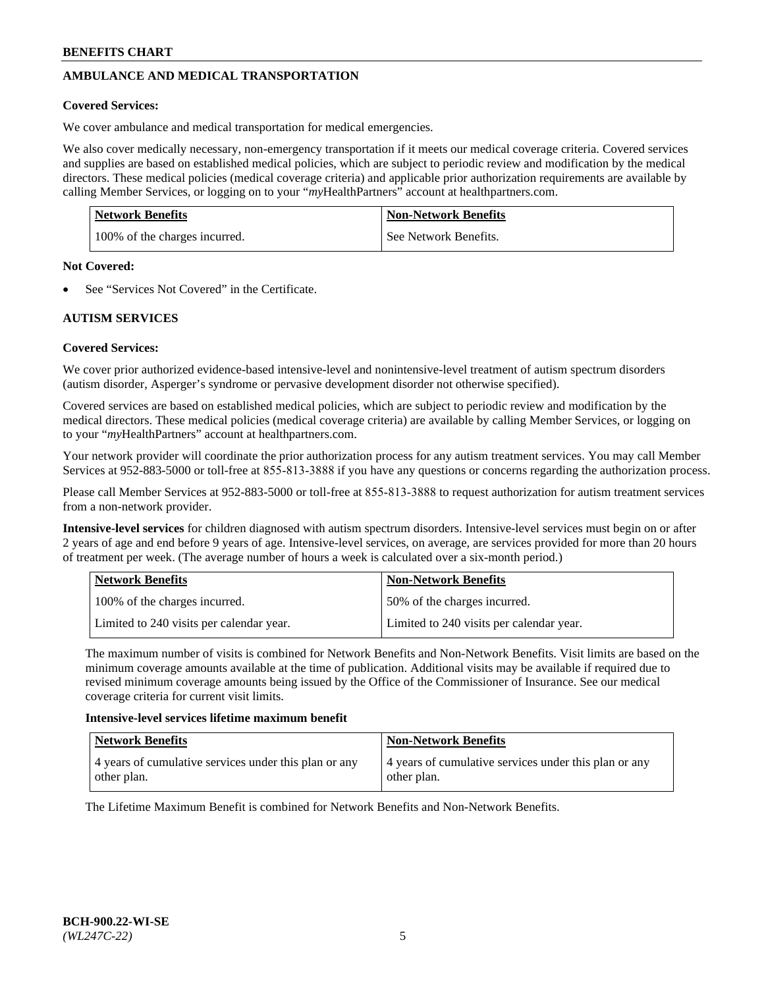# **AMBULANCE AND MEDICAL TRANSPORTATION**

### **Covered Services:**

We cover ambulance and medical transportation for medical emergencies.

We also cover medically necessary, non-emergency transportation if it meets our medical coverage criteria. Covered services and supplies are based on established medical policies, which are subject to periodic review and modification by the medical directors. These medical policies (medical coverage criteria) and applicable prior authorization requirements are available by calling Member Services, or logging on to your "*my*HealthPartners" account a[t healthpartners.com.](https://www.healthpartners.com/hp/index.html)

| Network Benefits              | <b>Non-Network Benefits</b> |
|-------------------------------|-----------------------------|
| 100% of the charges incurred. | See Network Benefits.       |

#### **Not Covered:**

See "Services Not Covered" in the Certificate.

# **AUTISM SERVICES**

# **Covered Services:**

We cover prior authorized evidence-based intensive-level and nonintensive-level treatment of autism spectrum disorders (autism disorder, Asperger's syndrome or pervasive development disorder not otherwise specified).

Covered services are based on established medical policies, which are subject to periodic review and modification by the medical directors. These medical policies (medical coverage criteria) are available by calling Member Services, or logging on to your "*my*HealthPartners" account at [healthpartners.com.](https://www.healthpartners.com/hp/index.html)

Your network provider will coordinate the prior authorization process for any autism treatment services. You may call Member Services at 952-883-5000 or toll-free at 855-813-3888 if you have any questions or concerns regarding the authorization process.

Please call Member Services at 952-883-5000 or toll-free at 855-813-3888 to request authorization for autism treatment services from a non-network provider.

**Intensive-level services** for children diagnosed with autism spectrum disorders. Intensive-level services must begin on or after 2 years of age and end before 9 years of age. Intensive-level services, on average, are services provided for more than 20 hours of treatment per week. (The average number of hours a week is calculated over a six-month period.)

| Network Benefits                         | <b>Non-Network Benefits</b>              |
|------------------------------------------|------------------------------------------|
| 100% of the charges incurred.            | 50% of the charges incurred.             |
| Limited to 240 visits per calendar year. | Limited to 240 visits per calendar year. |

The maximum number of visits is combined for Network Benefits and Non-Network Benefits. Visit limits are based on the minimum coverage amounts available at the time of publication. Additional visits may be available if required due to revised minimum coverage amounts being issued by the Office of the Commissioner of Insurance. See our medical coverage criteria for current visit limits.

#### **Intensive-level services lifetime maximum benefit**

| <b>Network Benefits</b>                               | <b>Non-Network Benefits</b>                           |
|-------------------------------------------------------|-------------------------------------------------------|
| 4 years of cumulative services under this plan or any | 4 years of cumulative services under this plan or any |
| other plan.                                           | other plan.                                           |

The Lifetime Maximum Benefit is combined for Network Benefits and Non-Network Benefits.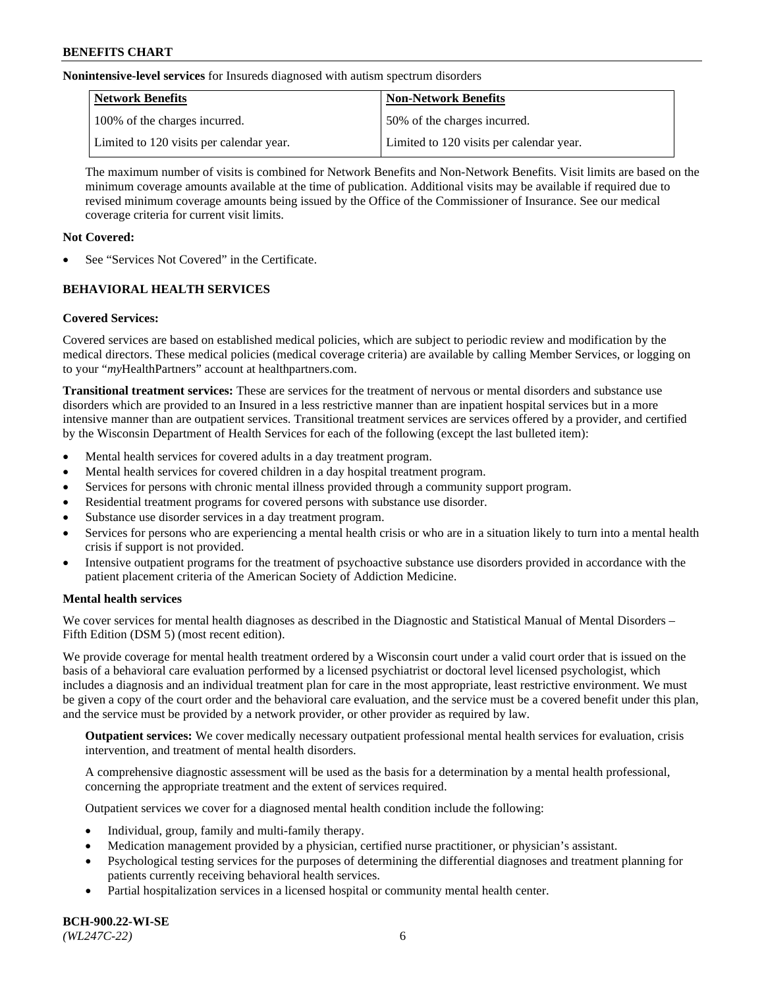**Nonintensive-level services** for Insureds diagnosed with autism spectrum disorders

| Network Benefits                         | <b>Non-Network Benefits</b>              |
|------------------------------------------|------------------------------------------|
| 100% of the charges incurred.            | 50% of the charges incurred.             |
| Limited to 120 visits per calendar year. | Limited to 120 visits per calendar year. |

The maximum number of visits is combined for Network Benefits and Non-Network Benefits. Visit limits are based on the minimum coverage amounts available at the time of publication. Additional visits may be available if required due to revised minimum coverage amounts being issued by the Office of the Commissioner of Insurance. See our medical coverage criteria for current visit limits.

# **Not Covered:**

See "Services Not Covered" in the Certificate.

# **BEHAVIORAL HEALTH SERVICES**

# **Covered Services:**

Covered services are based on established medical policies, which are subject to periodic review and modification by the medical directors. These medical policies (medical coverage criteria) are available by calling Member Services, or logging on to your "*my*HealthPartners" account at [healthpartners.com.](https://www.healthpartners.com/hp/index.html)

**Transitional treatment services:** These are services for the treatment of nervous or mental disorders and substance use disorders which are provided to an Insured in a less restrictive manner than are inpatient hospital services but in a more intensive manner than are outpatient services. Transitional treatment services are services offered by a provider, and certified by the Wisconsin Department of Health Services for each of the following (except the last bulleted item):

- Mental health services for covered adults in a day treatment program.
- Mental health services for covered children in a day hospital treatment program.
- Services for persons with chronic mental illness provided through a community support program.
- Residential treatment programs for covered persons with substance use disorder.
- Substance use disorder services in a day treatment program.
- Services for persons who are experiencing a mental health crisis or who are in a situation likely to turn into a mental health crisis if support is not provided.
- Intensive outpatient programs for the treatment of psychoactive substance use disorders provided in accordance with the patient placement criteria of the American Society of Addiction Medicine.

# **Mental health services**

We cover services for mental health diagnoses as described in the Diagnostic and Statistical Manual of Mental Disorders – Fifth Edition (DSM 5) (most recent edition).

We provide coverage for mental health treatment ordered by a Wisconsin court under a valid court order that is issued on the basis of a behavioral care evaluation performed by a licensed psychiatrist or doctoral level licensed psychologist, which includes a diagnosis and an individual treatment plan for care in the most appropriate, least restrictive environment. We must be given a copy of the court order and the behavioral care evaluation, and the service must be a covered benefit under this plan, and the service must be provided by a network provider, or other provider as required by law.

**Outpatient services:** We cover medically necessary outpatient professional mental health services for evaluation, crisis intervention, and treatment of mental health disorders.

A comprehensive diagnostic assessment will be used as the basis for a determination by a mental health professional, concerning the appropriate treatment and the extent of services required.

Outpatient services we cover for a diagnosed mental health condition include the following:

- Individual, group, family and multi-family therapy.
- Medication management provided by a physician, certified nurse practitioner, or physician's assistant.
- Psychological testing services for the purposes of determining the differential diagnoses and treatment planning for patients currently receiving behavioral health services.
- Partial hospitalization services in a licensed hospital or community mental health center.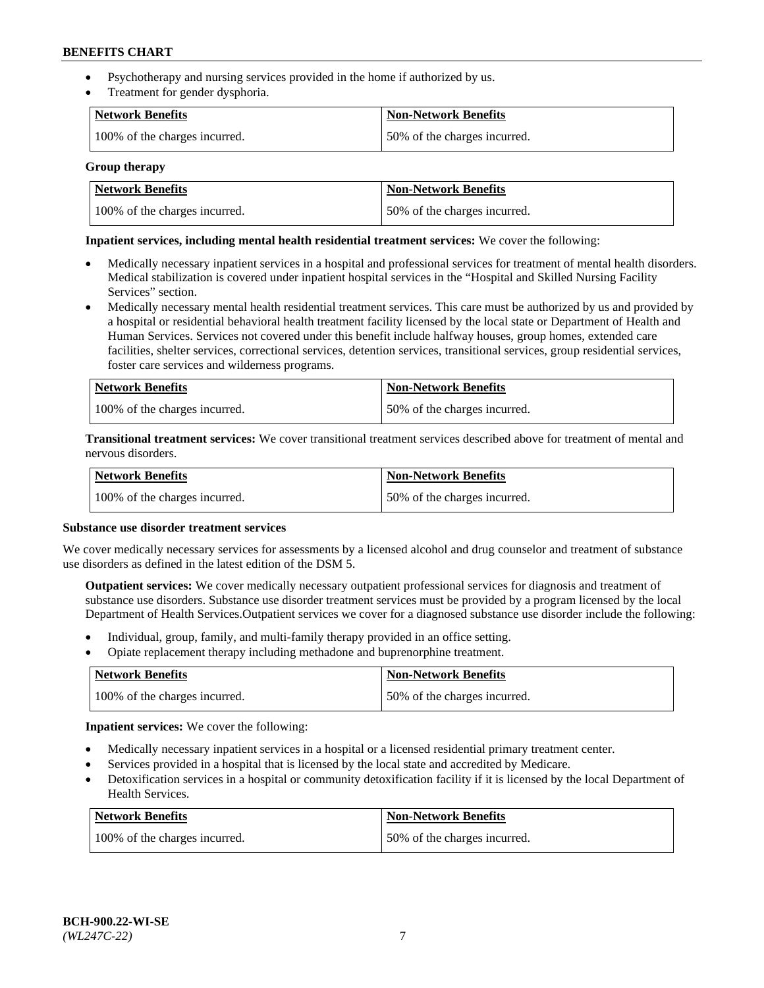- Psychotherapy and nursing services provided in the home if authorized by us.
- Treatment for gender dysphoria.

| Network Benefits              | <b>Non-Network Benefits</b>  |
|-------------------------------|------------------------------|
| 100% of the charges incurred. | 50% of the charges incurred. |

#### **Group therapy**

| Network Benefits              | Non-Network Benefits         |
|-------------------------------|------------------------------|
| 100% of the charges incurred. | 50% of the charges incurred. |

### **Inpatient services, including mental health residential treatment services:** We cover the following:

- Medically necessary inpatient services in a hospital and professional services for treatment of mental health disorders. Medical stabilization is covered under inpatient hospital services in the "Hospital and Skilled Nursing Facility Services" section.
- Medically necessary mental health residential treatment services. This care must be authorized by us and provided by a hospital or residential behavioral health treatment facility licensed by the local state or Department of Health and Human Services. Services not covered under this benefit include halfway houses, group homes, extended care facilities, shelter services, correctional services, detention services, transitional services, group residential services, foster care services and wilderness programs.

| Network Benefits              | <b>Non-Network Benefits</b>  |
|-------------------------------|------------------------------|
| 100% of the charges incurred. | 50% of the charges incurred. |

**Transitional treatment services:** We cover transitional treatment services described above for treatment of mental and nervous disorders.

| Network Benefits              | Non-Network Benefits         |
|-------------------------------|------------------------------|
| 100% of the charges incurred. | 50% of the charges incurred. |

#### **Substance use disorder treatment services**

We cover medically necessary services for assessments by a licensed alcohol and drug counselor and treatment of substance use disorders as defined in the latest edition of the DSM 5.

**Outpatient services:** We cover medically necessary outpatient professional services for diagnosis and treatment of substance use disorders. Substance use disorder treatment services must be provided by a program licensed by the local Department of Health Services.Outpatient services we cover for a diagnosed substance use disorder include the following:

- Individual, group, family, and multi-family therapy provided in an office setting.
- Opiate replacement therapy including methadone and buprenorphine treatment.

| Network Benefits              | <b>Non-Network Benefits</b>  |
|-------------------------------|------------------------------|
| 100% of the charges incurred. | 50% of the charges incurred. |

**Inpatient services:** We cover the following:

- Medically necessary inpatient services in a hospital or a licensed residential primary treatment center.
- Services provided in a hospital that is licensed by the local state and accredited by Medicare.
- Detoxification services in a hospital or community detoxification facility if it is licensed by the local Department of Health Services.

| Network Benefits              | <b>Non-Network Benefits</b>  |
|-------------------------------|------------------------------|
| 100% of the charges incurred. | 50% of the charges incurred. |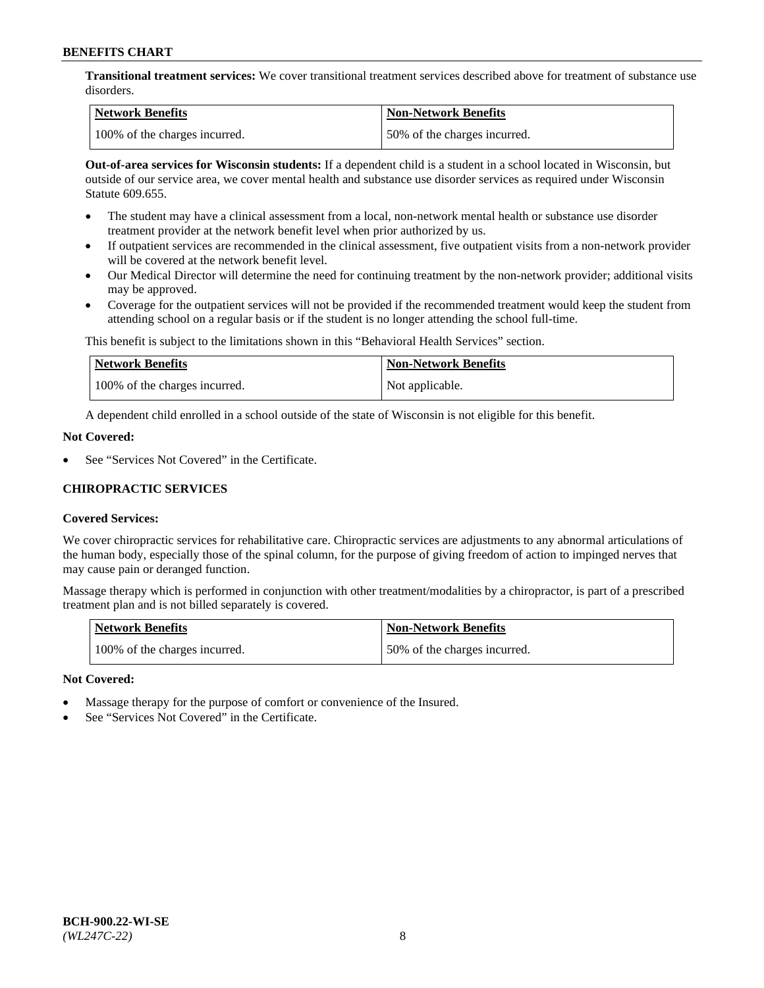**Transitional treatment services:** We cover transitional treatment services described above for treatment of substance use disorders.

| Network Benefits              | Non-Network Benefits         |
|-------------------------------|------------------------------|
| 100% of the charges incurred. | 50% of the charges incurred. |

**Out-of-area services for Wisconsin students:** If a dependent child is a student in a school located in Wisconsin, but outside of our service area, we cover mental health and substance use disorder services as required under Wisconsin Statute 609.655.

- The student may have a clinical assessment from a local, non-network mental health or substance use disorder treatment provider at the network benefit level when prior authorized by us.
- If outpatient services are recommended in the clinical assessment, five outpatient visits from a non-network provider will be covered at the network benefit level.
- Our Medical Director will determine the need for continuing treatment by the non-network provider; additional visits may be approved.
- Coverage for the outpatient services will not be provided if the recommended treatment would keep the student from attending school on a regular basis or if the student is no longer attending the school full-time.

This benefit is subject to the limitations shown in this "Behavioral Health Services" section.

| Network Benefits              | <b>Non-Network Benefits</b> |
|-------------------------------|-----------------------------|
| 100% of the charges incurred. | Not applicable.             |

A dependent child enrolled in a school outside of the state of Wisconsin is not eligible for this benefit.

### **Not Covered:**

See "Services Not Covered" in the Certificate.

# **CHIROPRACTIC SERVICES**

# **Covered Services:**

We cover chiropractic services for rehabilitative care. Chiropractic services are adjustments to any abnormal articulations of the human body, especially those of the spinal column, for the purpose of giving freedom of action to impinged nerves that may cause pain or deranged function.

Massage therapy which is performed in conjunction with other treatment/modalities by a chiropractor, is part of a prescribed treatment plan and is not billed separately is covered.

| <b>Network Benefits</b>       | <b>Non-Network Benefits</b>  |
|-------------------------------|------------------------------|
| 100% of the charges incurred. | 50% of the charges incurred. |

#### **Not Covered:**

- Massage therapy for the purpose of comfort or convenience of the Insured.
- See "Services Not Covered" in the Certificate.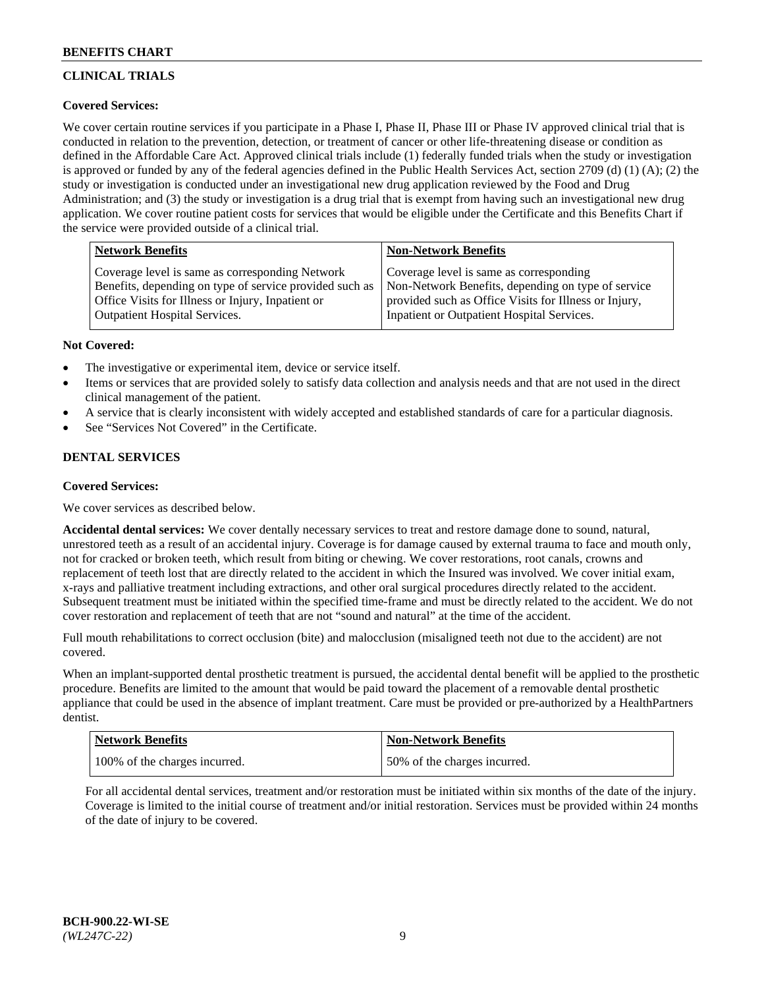# **CLINICAL TRIALS**

# **Covered Services:**

We cover certain routine services if you participate in a Phase I, Phase II, Phase III or Phase IV approved clinical trial that is conducted in relation to the prevention, detection, or treatment of cancer or other life-threatening disease or condition as defined in the Affordable Care Act. Approved clinical trials include (1) federally funded trials when the study or investigation is approved or funded by any of the federal agencies defined in the Public Health Services Act, section 2709 (d) (1) (A); (2) the study or investigation is conducted under an investigational new drug application reviewed by the Food and Drug Administration; and (3) the study or investigation is a drug trial that is exempt from having such an investigational new drug application. We cover routine patient costs for services that would be eligible under the Certificate and this Benefits Chart if the service were provided outside of a clinical trial.

| <b>Network Benefits</b>                                                                                                                                         | <b>Non-Network Benefits</b>                                                                                                                            |
|-----------------------------------------------------------------------------------------------------------------------------------------------------------------|--------------------------------------------------------------------------------------------------------------------------------------------------------|
| Coverage level is same as corresponding Network<br>Benefits, depending on type of service provided such as<br>Office Visits for Illness or Injury, Inpatient or | Coverage level is same as corresponding<br>Non-Network Benefits, depending on type of service<br>provided such as Office Visits for Illness or Injury, |
| <b>Outpatient Hospital Services.</b>                                                                                                                            | Inpatient or Outpatient Hospital Services.                                                                                                             |

### **Not Covered:**

- The investigative or experimental item, device or service itself.
- Items or services that are provided solely to satisfy data collection and analysis needs and that are not used in the direct clinical management of the patient.
- A service that is clearly inconsistent with widely accepted and established standards of care for a particular diagnosis.
- See "Services Not Covered" in the Certificate.

# **DENTAL SERVICES**

# **Covered Services:**

We cover services as described below.

**Accidental dental services:** We cover dentally necessary services to treat and restore damage done to sound, natural, unrestored teeth as a result of an accidental injury. Coverage is for damage caused by external trauma to face and mouth only, not for cracked or broken teeth, which result from biting or chewing. We cover restorations, root canals, crowns and replacement of teeth lost that are directly related to the accident in which the Insured was involved. We cover initial exam, x-rays and palliative treatment including extractions, and other oral surgical procedures directly related to the accident. Subsequent treatment must be initiated within the specified time-frame and must be directly related to the accident. We do not cover restoration and replacement of teeth that are not "sound and natural" at the time of the accident.

Full mouth rehabilitations to correct occlusion (bite) and malocclusion (misaligned teeth not due to the accident) are not covered.

When an implant-supported dental prosthetic treatment is pursued, the accidental dental benefit will be applied to the prosthetic procedure. Benefits are limited to the amount that would be paid toward the placement of a removable dental prosthetic appliance that could be used in the absence of implant treatment. Care must be provided or pre-authorized by a HealthPartners dentist.

| Network Benefits              | <b>Non-Network Benefits</b>  |
|-------------------------------|------------------------------|
| 100% of the charges incurred. | 50% of the charges incurred. |

For all accidental dental services, treatment and/or restoration must be initiated within six months of the date of the injury. Coverage is limited to the initial course of treatment and/or initial restoration. Services must be provided within 24 months of the date of injury to be covered.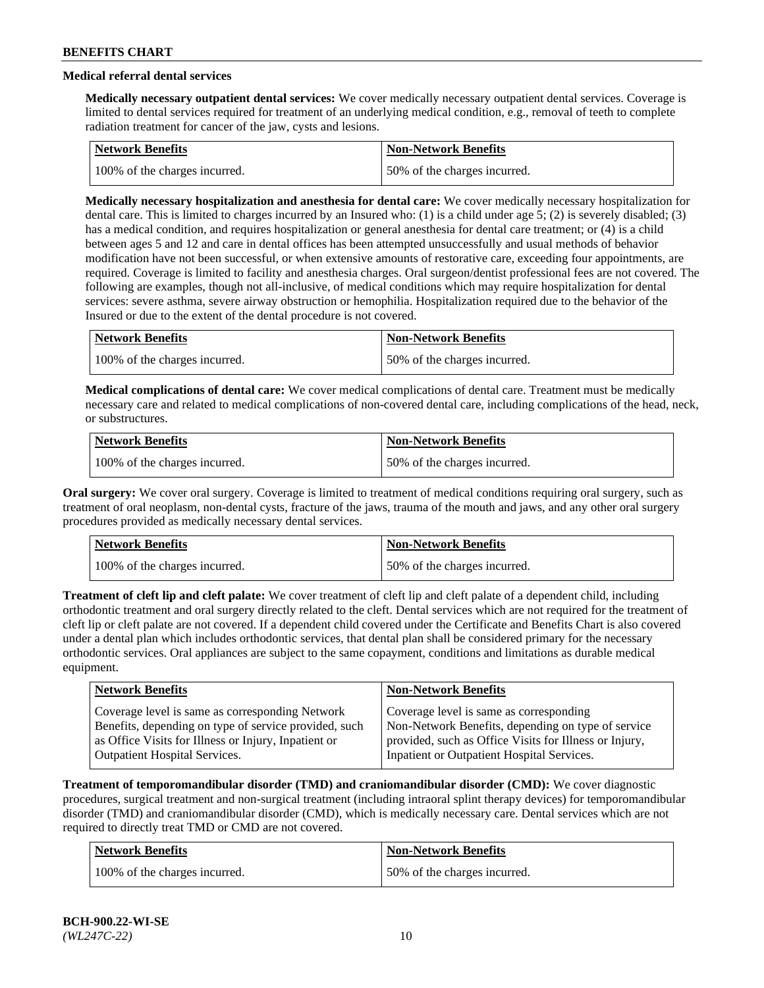# **Medical referral dental services**

**Medically necessary outpatient dental services:** We cover medically necessary outpatient dental services. Coverage is limited to dental services required for treatment of an underlying medical condition, e.g., removal of teeth to complete radiation treatment for cancer of the jaw, cysts and lesions.

| Network Benefits              | <b>Non-Network Benefits</b>  |
|-------------------------------|------------------------------|
| 100% of the charges incurred. | 50% of the charges incurred. |

**Medically necessary hospitalization and anesthesia for dental care:** We cover medically necessary hospitalization for dental care. This is limited to charges incurred by an Insured who: (1) is a child under age 5; (2) is severely disabled; (3) has a medical condition, and requires hospitalization or general anesthesia for dental care treatment; or (4) is a child between ages 5 and 12 and care in dental offices has been attempted unsuccessfully and usual methods of behavior modification have not been successful, or when extensive amounts of restorative care, exceeding four appointments, are required. Coverage is limited to facility and anesthesia charges. Oral surgeon/dentist professional fees are not covered. The following are examples, though not all-inclusive, of medical conditions which may require hospitalization for dental services: severe asthma, severe airway obstruction or hemophilia. Hospitalization required due to the behavior of the Insured or due to the extent of the dental procedure is not covered.

| Network Benefits              | <b>Non-Network Benefits</b>  |
|-------------------------------|------------------------------|
| 100% of the charges incurred. | 50% of the charges incurred. |

**Medical complications of dental care:** We cover medical complications of dental care. Treatment must be medically necessary care and related to medical complications of non-covered dental care, including complications of the head, neck, or substructures.

| Network Benefits              | <b>Non-Network Benefits</b>  |
|-------------------------------|------------------------------|
| 100% of the charges incurred. | 50% of the charges incurred. |

**Oral surgery:** We cover oral surgery. Coverage is limited to treatment of medical conditions requiring oral surgery, such as treatment of oral neoplasm, non-dental cysts, fracture of the jaws, trauma of the mouth and jaws, and any other oral surgery procedures provided as medically necessary dental services.

| Network Benefits              | <b>Non-Network Benefits</b>  |
|-------------------------------|------------------------------|
| 100% of the charges incurred. | 50% of the charges incurred. |

**Treatment of cleft lip and cleft palate:** We cover treatment of cleft lip and cleft palate of a dependent child, including orthodontic treatment and oral surgery directly related to the cleft. Dental services which are not required for the treatment of cleft lip or cleft palate are not covered. If a dependent child covered under the Certificate and Benefits Chart is also covered under a dental plan which includes orthodontic services, that dental plan shall be considered primary for the necessary orthodontic services. Oral appliances are subject to the same copayment, conditions and limitations as durable medical equipment.

| <b>Network Benefits</b>                               | <b>Non-Network Benefits</b>                            |
|-------------------------------------------------------|--------------------------------------------------------|
| Coverage level is same as corresponding Network       | Coverage level is same as corresponding                |
| Benefits, depending on type of service provided, such | Non-Network Benefits, depending on type of service     |
| as Office Visits for Illness or Injury, Inpatient or  | provided, such as Office Visits for Illness or Injury, |
| <b>Outpatient Hospital Services.</b>                  | Inpatient or Outpatient Hospital Services.             |

**Treatment of temporomandibular disorder (TMD) and craniomandibular disorder (CMD):** We cover diagnostic procedures, surgical treatment and non-surgical treatment (including intraoral splint therapy devices) for temporomandibular disorder (TMD) and craniomandibular disorder (CMD), which is medically necessary care. Dental services which are not required to directly treat TMD or CMD are not covered.

| <b>Network Benefits</b>       | <b>Non-Network Benefits</b>  |
|-------------------------------|------------------------------|
| 100% of the charges incurred. | 50% of the charges incurred. |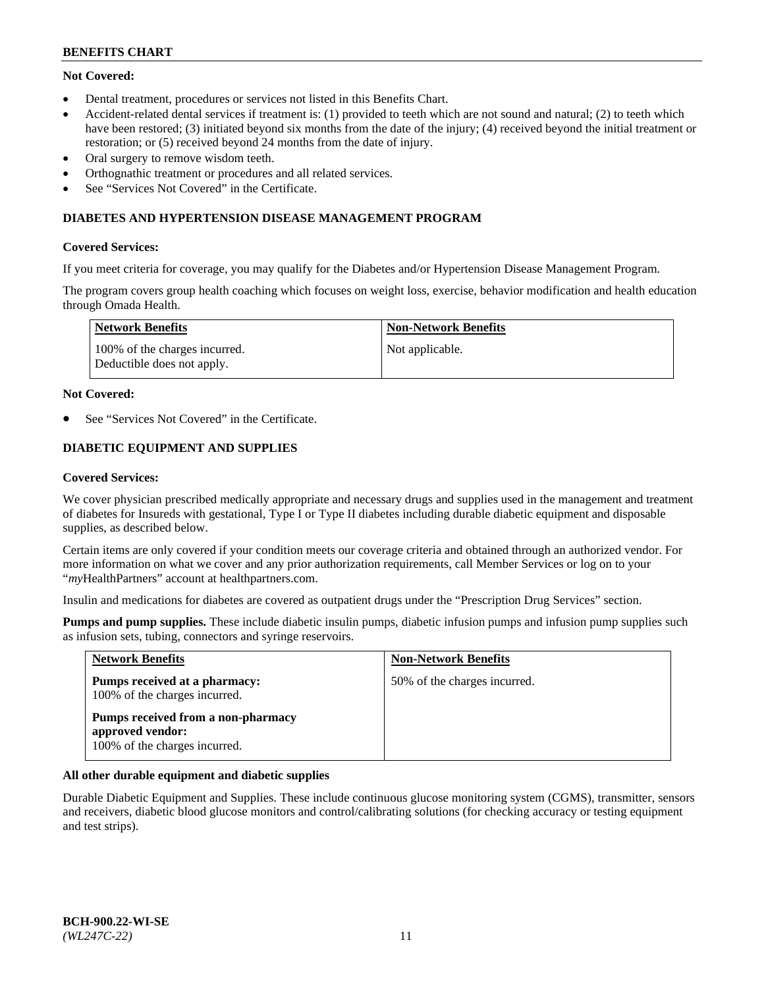# **Not Covered:**

- Dental treatment, procedures or services not listed in this Benefits Chart.
- Accident-related dental services if treatment is: (1) provided to teeth which are not sound and natural; (2) to teeth which have been restored; (3) initiated beyond six months from the date of the injury; (4) received beyond the initial treatment or restoration; or (5) received beyond 24 months from the date of injury.
- Oral surgery to remove wisdom teeth.
- Orthognathic treatment or procedures and all related services.
- See "Services Not Covered" in the Certificate.

### **DIABETES AND HYPERTENSION DISEASE MANAGEMENT PROGRAM**

### **Covered Services:**

If you meet criteria for coverage, you may qualify for the Diabetes and/or Hypertension Disease Management Program.

The program covers group health coaching which focuses on weight loss, exercise, behavior modification and health education through Omada Health.

| <b>Network Benefits</b>                                     | <b>Non-Network Benefits</b> |
|-------------------------------------------------------------|-----------------------------|
| 100% of the charges incurred.<br>Deductible does not apply. | Not applicable.             |

### **Not Covered:**

See "Services Not Covered" in the Certificate.

# **DIABETIC EQUIPMENT AND SUPPLIES**

### **Covered Services:**

We cover physician prescribed medically appropriate and necessary drugs and supplies used in the management and treatment of diabetes for Insureds with gestational, Type I or Type II diabetes including durable diabetic equipment and disposable supplies, as described below.

Certain items are only covered if your condition meets our coverage criteria and obtained through an authorized vendor. For more information on what we cover and any prior authorization requirements, call Member Services or log on to your "*my*HealthPartners" account at [healthpartners.com.](http://www.healthpartners.com/)

Insulin and medications for diabetes are covered as outpatient drugs under the "Prescription Drug Services" section.

**Pumps and pump supplies.** These include diabetic insulin pumps, diabetic infusion pumps and infusion pump supplies such as infusion sets, tubing, connectors and syringe reservoirs.

| <b>Network Benefits</b>                                                                 | <b>Non-Network Benefits</b>  |
|-----------------------------------------------------------------------------------------|------------------------------|
| Pumps received at a pharmacy:<br>100% of the charges incurred.                          | 50% of the charges incurred. |
| Pumps received from a non-pharmacy<br>approved vendor:<br>100% of the charges incurred. |                              |

# **All other durable equipment and diabetic supplies**

Durable Diabetic Equipment and Supplies. These include continuous glucose monitoring system (CGMS), transmitter, sensors and receivers, diabetic blood glucose monitors and control/calibrating solutions (for checking accuracy or testing equipment and test strips).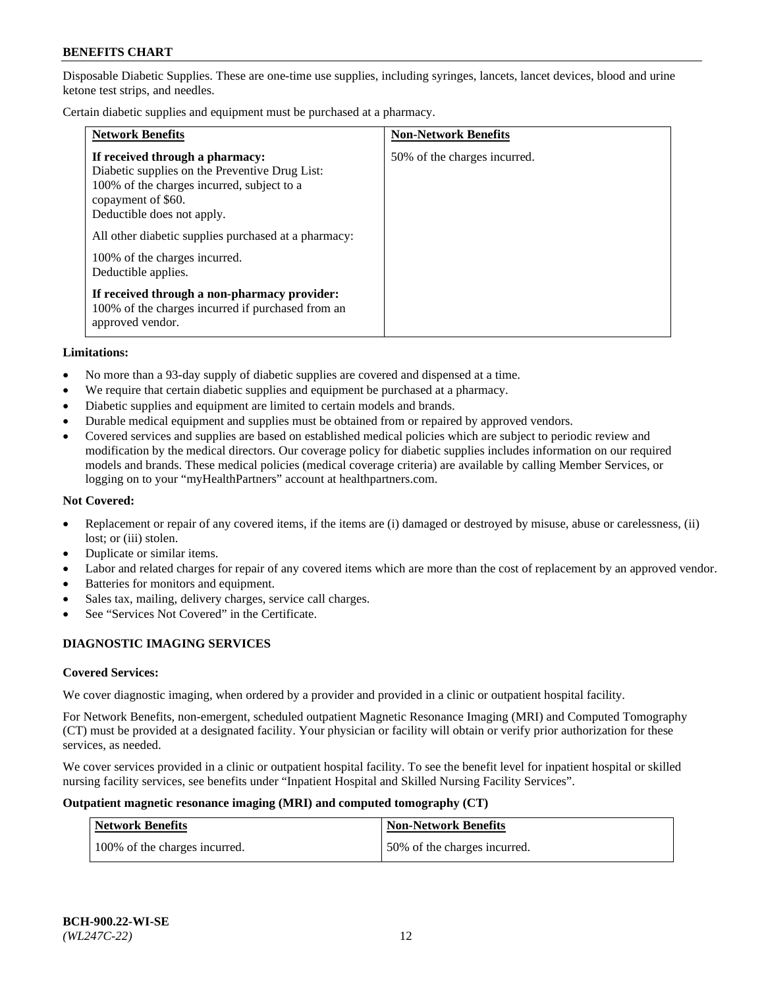Disposable Diabetic Supplies. These are one-time use supplies, including syringes, lancets, lancet devices, blood and urine ketone test strips, and needles.

Certain diabetic supplies and equipment must be purchased at a pharmacy.

| <b>Network Benefits</b>                                                                                                                                                                                                                                                                             | <b>Non-Network Benefits</b>  |
|-----------------------------------------------------------------------------------------------------------------------------------------------------------------------------------------------------------------------------------------------------------------------------------------------------|------------------------------|
| If received through a pharmacy:<br>Diabetic supplies on the Preventive Drug List:<br>100% of the charges incurred, subject to a<br>copayment of \$60.<br>Deductible does not apply.<br>All other diabetic supplies purchased at a pharmacy:<br>100% of the charges incurred.<br>Deductible applies. | 50% of the charges incurred. |
| If received through a non-pharmacy provider:<br>100% of the charges incurred if purchased from an<br>approved vendor.                                                                                                                                                                               |                              |

#### **Limitations:**

- No more than a 93-day supply of diabetic supplies are covered and dispensed at a time.
- We require that certain diabetic supplies and equipment be purchased at a pharmacy.
- Diabetic supplies and equipment are limited to certain models and brands.
- Durable medical equipment and supplies must be obtained from or repaired by approved vendors.
- Covered services and supplies are based on established medical policies which are subject to periodic review and modification by the medical directors. Our coverage policy for diabetic supplies includes information on our required models and brands. These medical policies (medical coverage criteria) are available by calling Member Services, or logging on to your "myHealthPartners" account at [healthpartners.com.](http://www.healthpartners.com/)

### **Not Covered:**

- Replacement or repair of any covered items, if the items are (i) damaged or destroyed by misuse, abuse or carelessness, (ii) lost; or (iii) stolen.
- Duplicate or similar items.
- Labor and related charges for repair of any covered items which are more than the cost of replacement by an approved vendor.
- Batteries for monitors and equipment.
- Sales tax, mailing, delivery charges, service call charges.
- See "Services Not Covered" in the Certificate.

# **DIAGNOSTIC IMAGING SERVICES**

#### **Covered Services:**

We cover diagnostic imaging, when ordered by a provider and provided in a clinic or outpatient hospital facility.

For Network Benefits, non-emergent, scheduled outpatient Magnetic Resonance Imaging (MRI) and Computed Tomography (CT) must be provided at a designated facility. Your physician or facility will obtain or verify prior authorization for these services, as needed.

We cover services provided in a clinic or outpatient hospital facility. To see the benefit level for inpatient hospital or skilled nursing facility services, see benefits under "Inpatient Hospital and Skilled Nursing Facility Services".

#### **Outpatient magnetic resonance imaging (MRI) and computed tomography (CT)**

| <b>Network Benefits</b>       | <b>Non-Network Benefits</b>  |
|-------------------------------|------------------------------|
| 100% of the charges incurred. | 50% of the charges incurred. |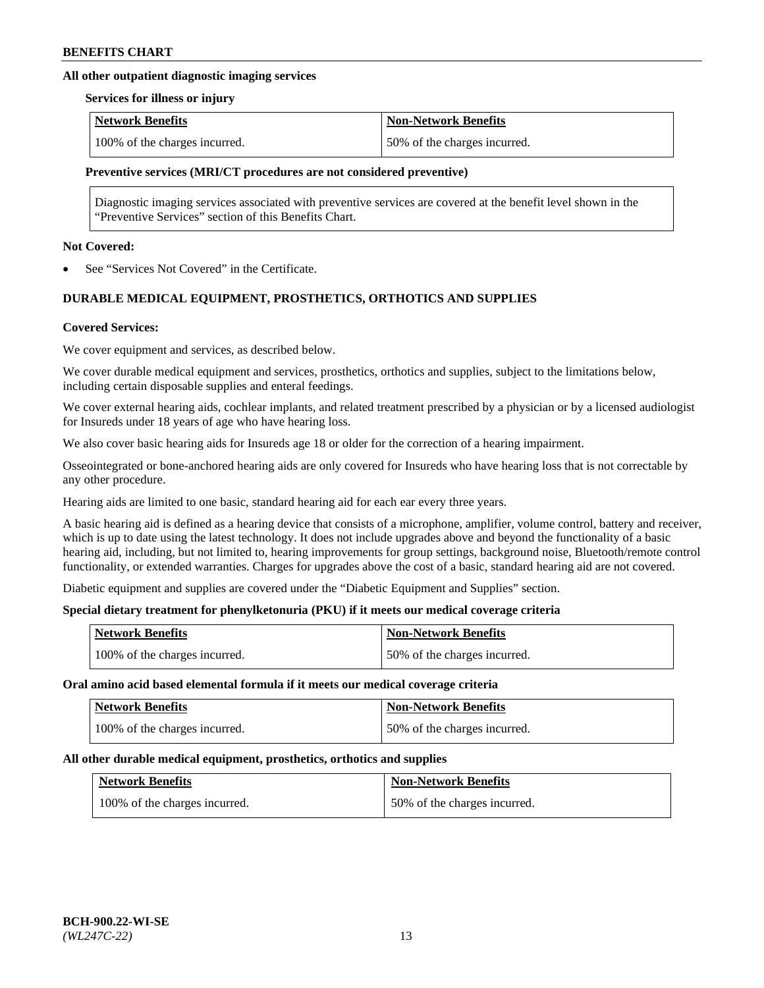# **All other outpatient diagnostic imaging services**

#### **Services for illness or injury**

| <b>Network Benefits</b>       | <b>Non-Network Benefits</b>  |
|-------------------------------|------------------------------|
| 100% of the charges incurred. | 50% of the charges incurred. |

### **Preventive services (MRI/CT procedures are not considered preventive)**

Diagnostic imaging services associated with preventive services are covered at the benefit level shown in the "Preventive Services" section of this Benefits Chart.

### **Not Covered:**

See "Services Not Covered" in the Certificate.

# **DURABLE MEDICAL EQUIPMENT, PROSTHETICS, ORTHOTICS AND SUPPLIES**

### **Covered Services:**

We cover equipment and services, as described below.

We cover durable medical equipment and services, prosthetics, orthotics and supplies, subject to the limitations below, including certain disposable supplies and enteral feedings.

We cover external hearing aids, cochlear implants, and related treatment prescribed by a physician or by a licensed audiologist for Insureds under 18 years of age who have hearing loss.

We also cover basic hearing aids for Insureds age 18 or older for the correction of a hearing impairment.

Osseointegrated or bone-anchored hearing aids are only covered for Insureds who have hearing loss that is not correctable by any other procedure.

Hearing aids are limited to one basic, standard hearing aid for each ear every three years.

A basic hearing aid is defined as a hearing device that consists of a microphone, amplifier, volume control, battery and receiver, which is up to date using the latest technology. It does not include upgrades above and beyond the functionality of a basic hearing aid, including, but not limited to, hearing improvements for group settings, background noise, Bluetooth/remote control functionality, or extended warranties. Charges for upgrades above the cost of a basic, standard hearing aid are not covered.

Diabetic equipment and supplies are covered under the "Diabetic Equipment and Supplies" section.

# **Special dietary treatment for phenylketonuria (PKU) if it meets our medical coverage criteria**

| <b>Network Benefits</b>       | <b>Non-Network Benefits</b>  |
|-------------------------------|------------------------------|
| 100% of the charges incurred. | 50% of the charges incurred. |

#### **Oral amino acid based elemental formula if it meets our medical coverage criteria**

| <b>Network Benefits</b>       | <b>Non-Network Benefits</b>  |
|-------------------------------|------------------------------|
| 100% of the charges incurred. | 50% of the charges incurred. |

#### **All other durable medical equipment, prosthetics, orthotics and supplies**

| <b>Network Benefits</b>       | <b>Non-Network Benefits</b>  |
|-------------------------------|------------------------------|
| 100% of the charges incurred. | 50% of the charges incurred. |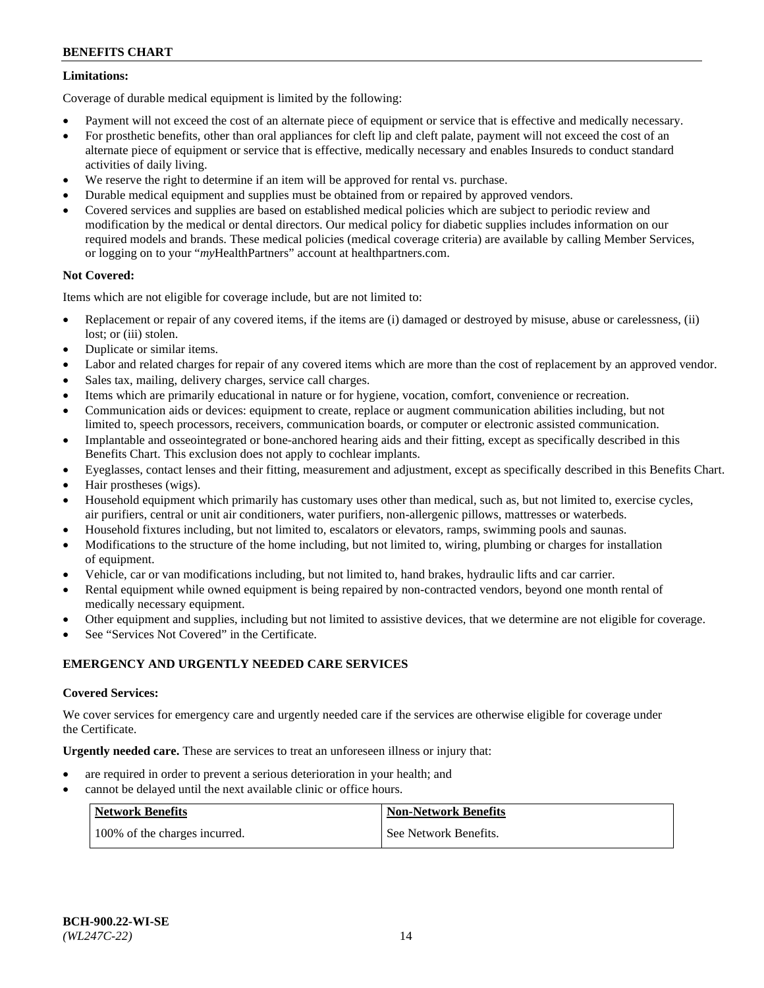# **Limitations:**

Coverage of durable medical equipment is limited by the following:

- Payment will not exceed the cost of an alternate piece of equipment or service that is effective and medically necessary.
- For prosthetic benefits, other than oral appliances for cleft lip and cleft palate, payment will not exceed the cost of an alternate piece of equipment or service that is effective, medically necessary and enables Insureds to conduct standard activities of daily living.
- We reserve the right to determine if an item will be approved for rental vs. purchase.
- Durable medical equipment and supplies must be obtained from or repaired by approved vendors.
- Covered services and supplies are based on established medical policies which are subject to periodic review and modification by the medical or dental directors. Our medical policy for diabetic supplies includes information on our required models and brands. These medical policies (medical coverage criteria) are available by calling Member Services, or logging on to your "*my*HealthPartners" account a[t healthpartners.com.](http://www.healthpartners.com/)

# **Not Covered:**

Items which are not eligible for coverage include, but are not limited to:

- Replacement or repair of any covered items, if the items are (i) damaged or destroyed by misuse, abuse or carelessness, (ii) lost; or (iii) stolen.
- Duplicate or similar items.
- Labor and related charges for repair of any covered items which are more than the cost of replacement by an approved vendor.
- Sales tax, mailing, delivery charges, service call charges.
- Items which are primarily educational in nature or for hygiene, vocation, comfort, convenience or recreation.
- Communication aids or devices: equipment to create, replace or augment communication abilities including, but not limited to, speech processors, receivers, communication boards, or computer or electronic assisted communication.
- Implantable and osseointegrated or bone-anchored hearing aids and their fitting, except as specifically described in this Benefits Chart. This exclusion does not apply to cochlear implants.
- Eyeglasses, contact lenses and their fitting, measurement and adjustment, except as specifically described in this Benefits Chart.
- Hair prostheses (wigs).
- Household equipment which primarily has customary uses other than medical, such as, but not limited to, exercise cycles, air purifiers, central or unit air conditioners, water purifiers, non-allergenic pillows, mattresses or waterbeds.
- Household fixtures including, but not limited to, escalators or elevators, ramps, swimming pools and saunas.
- Modifications to the structure of the home including, but not limited to, wiring, plumbing or charges for installation of equipment.
- Vehicle, car or van modifications including, but not limited to, hand brakes, hydraulic lifts and car carrier.
- Rental equipment while owned equipment is being repaired by non-contracted vendors, beyond one month rental of medically necessary equipment.
- Other equipment and supplies, including but not limited to assistive devices, that we determine are not eligible for coverage.
- See "Services Not Covered" in the Certificate.

# **EMERGENCY AND URGENTLY NEEDED CARE SERVICES**

# **Covered Services:**

We cover services for emergency care and urgently needed care if the services are otherwise eligible for coverage under the Certificate.

**Urgently needed care.** These are services to treat an unforeseen illness or injury that:

- are required in order to prevent a serious deterioration in your health; and
- cannot be delayed until the next available clinic or office hours.

| <b>Network Benefits</b>       | <b>Non-Network Benefits</b> |
|-------------------------------|-----------------------------|
| 100% of the charges incurred. | See Network Benefits.       |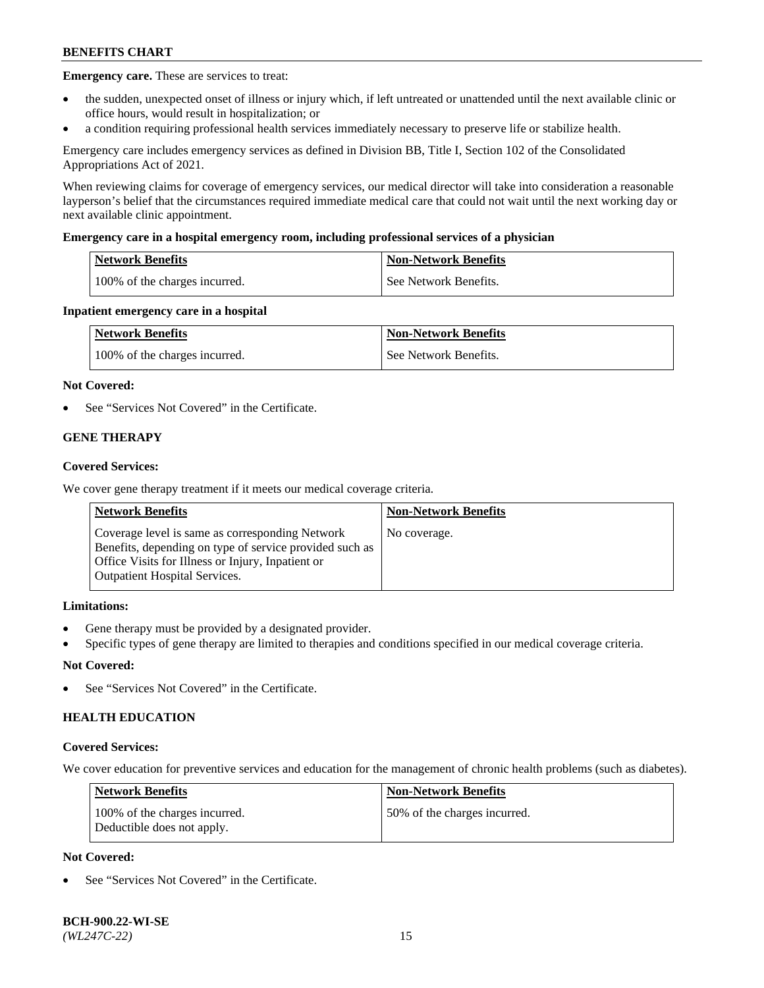**Emergency care.** These are services to treat:

- the sudden, unexpected onset of illness or injury which, if left untreated or unattended until the next available clinic or office hours, would result in hospitalization; or
- a condition requiring professional health services immediately necessary to preserve life or stabilize health.

Emergency care includes emergency services as defined in Division BB, Title I, Section 102 of the Consolidated Appropriations Act of 2021.

When reviewing claims for coverage of emergency services, our medical director will take into consideration a reasonable layperson's belief that the circumstances required immediate medical care that could not wait until the next working day or next available clinic appointment.

### **Emergency care in a hospital emergency room, including professional services of a physician**

| <b>Network Benefits</b>       | <b>Non-Network Benefits</b> |
|-------------------------------|-----------------------------|
| 100% of the charges incurred. | See Network Benefits.       |

### **Inpatient emergency care in a hospital**

| <b>Network Benefits</b>       | <b>Non-Network Benefits</b> |
|-------------------------------|-----------------------------|
| 100% of the charges incurred. | See Network Benefits.       |

### **Not Covered:**

See "Services Not Covered" in the Certificate.

# **GENE THERAPY**

### **Covered Services:**

We cover gene therapy treatment if it meets our medical coverage criteria.

| <b>Network Benefits</b>                                                                                                                                                                                 | <b>Non-Network Benefits</b> |
|---------------------------------------------------------------------------------------------------------------------------------------------------------------------------------------------------------|-----------------------------|
| Coverage level is same as corresponding Network<br>Benefits, depending on type of service provided such as<br>Office Visits for Illness or Injury, Inpatient or<br><b>Outpatient Hospital Services.</b> | No coverage.                |

# **Limitations:**

- Gene therapy must be provided by a designated provider.
- Specific types of gene therapy are limited to therapies and conditions specified in our medical coverage criteria.

# **Not Covered:**

See "Services Not Covered" in the Certificate.

# **HEALTH EDUCATION**

#### **Covered Services:**

We cover education for preventive services and education for the management of chronic health problems (such as diabetes).

| <b>Network Benefits</b>                                     | <b>Non-Network Benefits</b>  |
|-------------------------------------------------------------|------------------------------|
| 100% of the charges incurred.<br>Deductible does not apply. | 50% of the charges incurred. |

# **Not Covered:**

See "Services Not Covered" in the Certificate.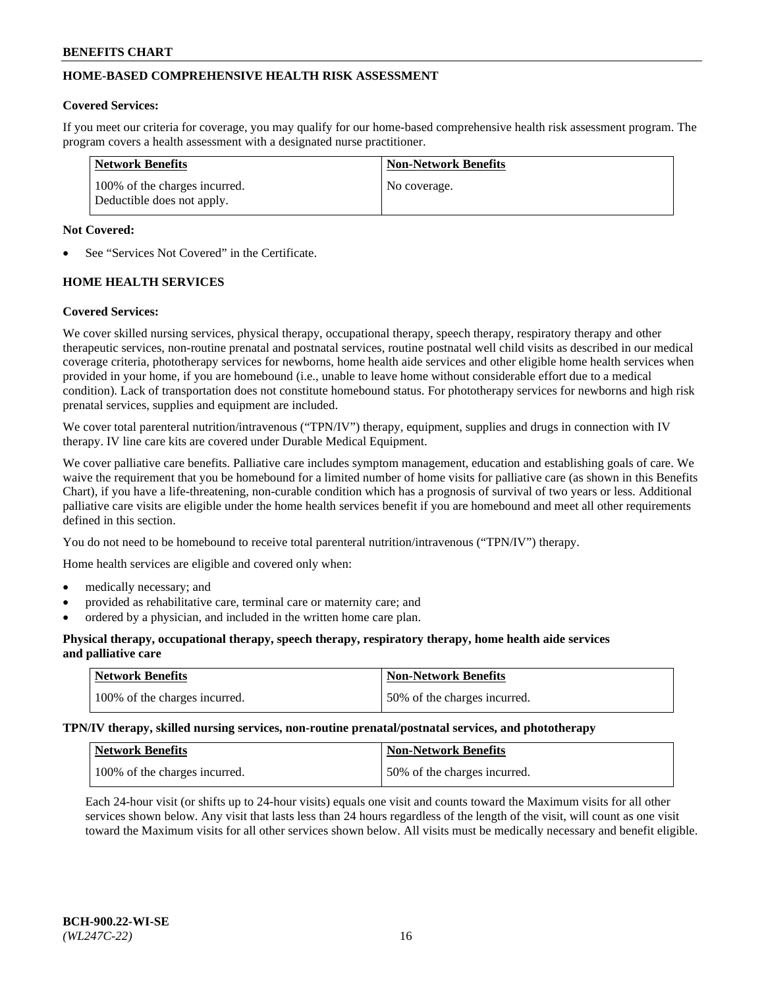# **HOME-BASED COMPREHENSIVE HEALTH RISK ASSESSMENT**

### **Covered Services:**

If you meet our criteria for coverage, you may qualify for our home-based comprehensive health risk assessment program. The program covers a health assessment with a designated nurse practitioner.

| Network Benefits                                            | <b>Non-Network Benefits</b> |
|-------------------------------------------------------------|-----------------------------|
| 100% of the charges incurred.<br>Deductible does not apply. | No coverage.                |

### **Not Covered:**

See "Services Not Covered" in the Certificate.

# **HOME HEALTH SERVICES**

### **Covered Services:**

We cover skilled nursing services, physical therapy, occupational therapy, speech therapy, respiratory therapy and other therapeutic services, non-routine prenatal and postnatal services, routine postnatal well child visits as described in our medical coverage criteria, phototherapy services for newborns, home health aide services and other eligible home health services when provided in your home, if you are homebound (i.e., unable to leave home without considerable effort due to a medical condition). Lack of transportation does not constitute homebound status. For phototherapy services for newborns and high risk prenatal services, supplies and equipment are included.

We cover total parenteral nutrition/intravenous ("TPN/IV") therapy, equipment, supplies and drugs in connection with IV therapy. IV line care kits are covered under Durable Medical Equipment.

We cover palliative care benefits. Palliative care includes symptom management, education and establishing goals of care. We waive the requirement that you be homebound for a limited number of home visits for palliative care (as shown in this Benefits Chart), if you have a life-threatening, non-curable condition which has a prognosis of survival of two years or less. Additional palliative care visits are eligible under the home health services benefit if you are homebound and meet all other requirements defined in this section.

You do not need to be homebound to receive total parenteral nutrition/intravenous ("TPN/IV") therapy.

Home health services are eligible and covered only when:

- medically necessary; and
- provided as rehabilitative care, terminal care or maternity care; and
- ordered by a physician, and included in the written home care plan.

### **Physical therapy, occupational therapy, speech therapy, respiratory therapy, home health aide services and palliative care**

| Network Benefits              | <b>Non-Network Benefits</b>  |
|-------------------------------|------------------------------|
| 100% of the charges incurred. | 50% of the charges incurred. |

**TPN/IV therapy, skilled nursing services, non-routine prenatal/postnatal services, and phototherapy**

| <b>Network Benefits</b>       | Non-Network Benefits         |
|-------------------------------|------------------------------|
| 100% of the charges incurred. | 50% of the charges incurred. |

Each 24-hour visit (or shifts up to 24-hour visits) equals one visit and counts toward the Maximum visits for all other services shown below. Any visit that lasts less than 24 hours regardless of the length of the visit, will count as one visit toward the Maximum visits for all other services shown below. All visits must be medically necessary and benefit eligible.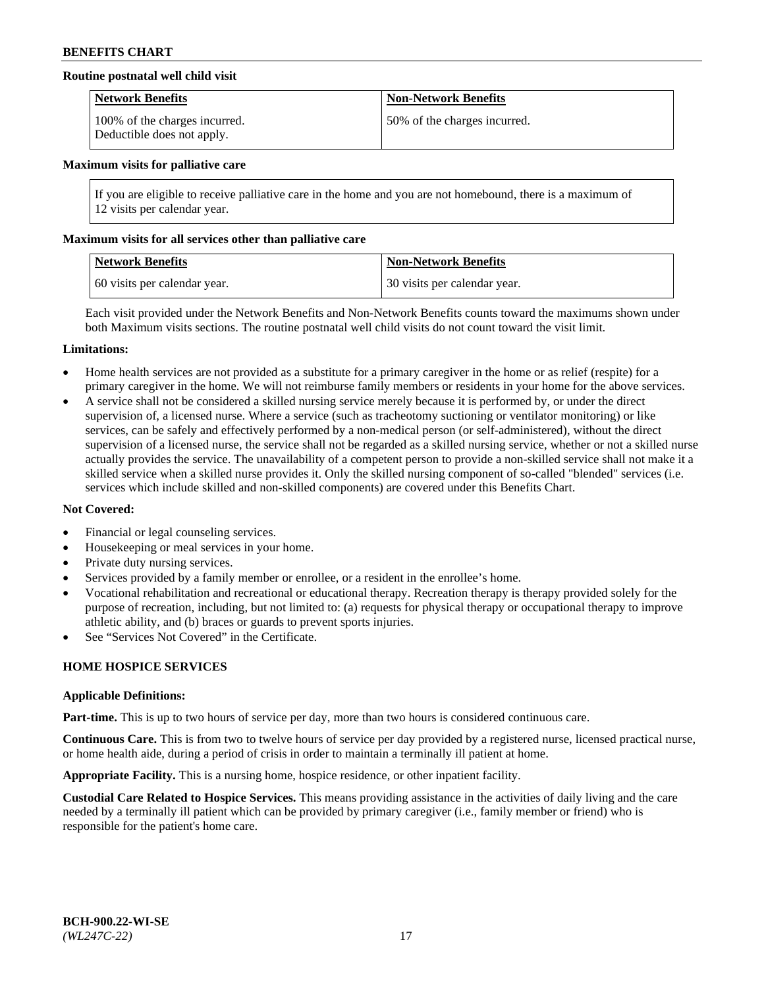# **Routine postnatal well child visit**

| <b>Network Benefits</b>                                     | <b>Non-Network Benefits</b>  |
|-------------------------------------------------------------|------------------------------|
| 100% of the charges incurred.<br>Deductible does not apply. | 50% of the charges incurred. |

#### **Maximum visits for palliative care**

If you are eligible to receive palliative care in the home and you are not homebound, there is a maximum of 12 visits per calendar year.

#### **Maximum visits for all services other than palliative care**

| Network Benefits             | <b>Non-Network Benefits</b>  |
|------------------------------|------------------------------|
| 60 visits per calendar year. | 30 visits per calendar year. |

Each visit provided under the Network Benefits and Non-Network Benefits counts toward the maximums shown under both Maximum visits sections. The routine postnatal well child visits do not count toward the visit limit.

#### **Limitations:**

- Home health services are not provided as a substitute for a primary caregiver in the home or as relief (respite) for a primary caregiver in the home. We will not reimburse family members or residents in your home for the above services.
- A service shall not be considered a skilled nursing service merely because it is performed by, or under the direct supervision of, a licensed nurse. Where a service (such as tracheotomy suctioning or ventilator monitoring) or like services, can be safely and effectively performed by a non-medical person (or self-administered), without the direct supervision of a licensed nurse, the service shall not be regarded as a skilled nursing service, whether or not a skilled nurse actually provides the service. The unavailability of a competent person to provide a non-skilled service shall not make it a skilled service when a skilled nurse provides it. Only the skilled nursing component of so-called "blended" services (i.e. services which include skilled and non-skilled components) are covered under this Benefits Chart.

### **Not Covered:**

- Financial or legal counseling services.
- Housekeeping or meal services in your home.
- Private duty nursing services.
- Services provided by a family member or enrollee, or a resident in the enrollee's home.
- Vocational rehabilitation and recreational or educational therapy. Recreation therapy is therapy provided solely for the purpose of recreation, including, but not limited to: (a) requests for physical therapy or occupational therapy to improve athletic ability, and (b) braces or guards to prevent sports injuries.
- See "Services Not Covered" in the Certificate.

# **HOME HOSPICE SERVICES**

#### **Applicable Definitions:**

**Part-time.** This is up to two hours of service per day, more than two hours is considered continuous care.

**Continuous Care.** This is from two to twelve hours of service per day provided by a registered nurse, licensed practical nurse, or home health aide, during a period of crisis in order to maintain a terminally ill patient at home.

**Appropriate Facility.** This is a nursing home, hospice residence, or other inpatient facility.

**Custodial Care Related to Hospice Services.** This means providing assistance in the activities of daily living and the care needed by a terminally ill patient which can be provided by primary caregiver (i.e., family member or friend) who is responsible for the patient's home care.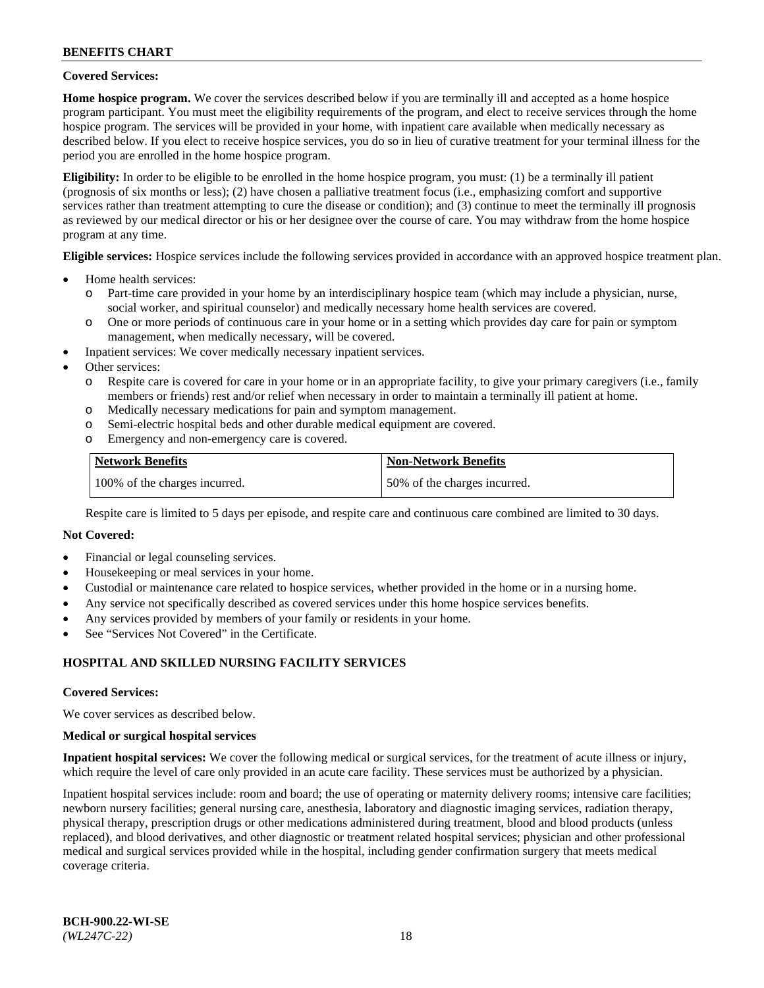### **Covered Services:**

**Home hospice program.** We cover the services described below if you are terminally ill and accepted as a home hospice program participant. You must meet the eligibility requirements of the program, and elect to receive services through the home hospice program. The services will be provided in your home, with inpatient care available when medically necessary as described below. If you elect to receive hospice services, you do so in lieu of curative treatment for your terminal illness for the period you are enrolled in the home hospice program.

**Eligibility:** In order to be eligible to be enrolled in the home hospice program, you must: (1) be a terminally ill patient (prognosis of six months or less); (2) have chosen a palliative treatment focus (i.e., emphasizing comfort and supportive services rather than treatment attempting to cure the disease or condition); and (3) continue to meet the terminally ill prognosis as reviewed by our medical director or his or her designee over the course of care. You may withdraw from the home hospice program at any time.

**Eligible services:** Hospice services include the following services provided in accordance with an approved hospice treatment plan.

- Home health services:
	- o Part-time care provided in your home by an interdisciplinary hospice team (which may include a physician, nurse, social worker, and spiritual counselor) and medically necessary home health services are covered.
	- o One or more periods of continuous care in your home or in a setting which provides day care for pain or symptom management, when medically necessary, will be covered.
- Inpatient services: We cover medically necessary inpatient services.
- Other services:
	- o Respite care is covered for care in your home or in an appropriate facility, to give your primary caregivers (i.e., family members or friends) rest and/or relief when necessary in order to maintain a terminally ill patient at home.
	- o Medically necessary medications for pain and symptom management.
	- o Semi-electric hospital beds and other durable medical equipment are covered.
	- Emergency and non-emergency care is covered.

| <b>Network Benefits</b>       | <b>Non-Network Benefits</b>  |
|-------------------------------|------------------------------|
| 100% of the charges incurred. | 50% of the charges incurred. |

Respite care is limited to 5 days per episode, and respite care and continuous care combined are limited to 30 days.

# **Not Covered:**

- Financial or legal counseling services.
- Housekeeping or meal services in your home.
- Custodial or maintenance care related to hospice services, whether provided in the home or in a nursing home.
- Any service not specifically described as covered services under this home hospice services benefits.
- Any services provided by members of your family or residents in your home.
- See "Services Not Covered" in the Certificate.

# **HOSPITAL AND SKILLED NURSING FACILITY SERVICES**

#### **Covered Services:**

We cover services as described below.

#### **Medical or surgical hospital services**

**Inpatient hospital services:** We cover the following medical or surgical services, for the treatment of acute illness or injury, which require the level of care only provided in an acute care facility. These services must be authorized by a physician.

Inpatient hospital services include: room and board; the use of operating or maternity delivery rooms; intensive care facilities; newborn nursery facilities; general nursing care, anesthesia, laboratory and diagnostic imaging services, radiation therapy, physical therapy, prescription drugs or other medications administered during treatment, blood and blood products (unless replaced), and blood derivatives, and other diagnostic or treatment related hospital services; physician and other professional medical and surgical services provided while in the hospital, including gender confirmation surgery that meets medical coverage criteria.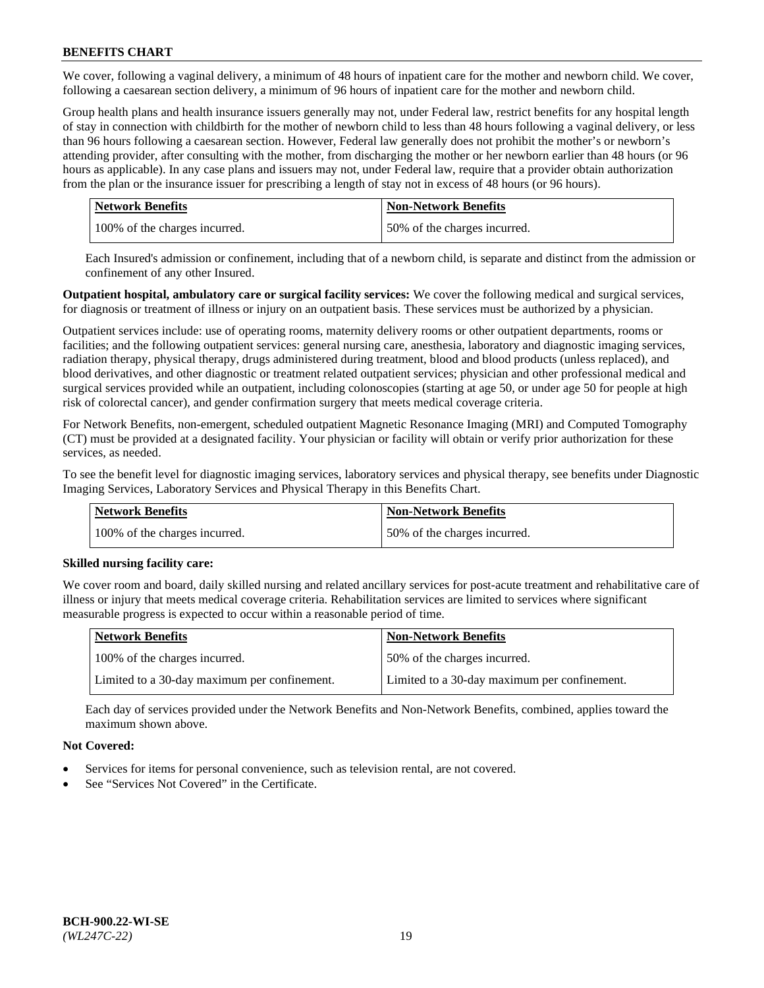We cover, following a vaginal delivery, a minimum of 48 hours of inpatient care for the mother and newborn child. We cover, following a caesarean section delivery, a minimum of 96 hours of inpatient care for the mother and newborn child.

Group health plans and health insurance issuers generally may not, under Federal law, restrict benefits for any hospital length of stay in connection with childbirth for the mother of newborn child to less than 48 hours following a vaginal delivery, or less than 96 hours following a caesarean section. However, Federal law generally does not prohibit the mother's or newborn's attending provider, after consulting with the mother, from discharging the mother or her newborn earlier than 48 hours (or 96 hours as applicable). In any case plans and issuers may not, under Federal law, require that a provider obtain authorization from the plan or the insurance issuer for prescribing a length of stay not in excess of 48 hours (or 96 hours).

| <b>Network Benefits</b>       | <b>Non-Network Benefits</b>  |
|-------------------------------|------------------------------|
| 100% of the charges incurred. | 50% of the charges incurred. |

Each Insured's admission or confinement, including that of a newborn child, is separate and distinct from the admission or confinement of any other Insured.

**Outpatient hospital, ambulatory care or surgical facility services:** We cover the following medical and surgical services, for diagnosis or treatment of illness or injury on an outpatient basis. These services must be authorized by a physician.

Outpatient services include: use of operating rooms, maternity delivery rooms or other outpatient departments, rooms or facilities; and the following outpatient services: general nursing care, anesthesia, laboratory and diagnostic imaging services, radiation therapy, physical therapy, drugs administered during treatment, blood and blood products (unless replaced), and blood derivatives, and other diagnostic or treatment related outpatient services; physician and other professional medical and surgical services provided while an outpatient, including colonoscopies (starting at age 50, or under age 50 for people at high risk of colorectal cancer), and gender confirmation surgery that meets medical coverage criteria.

For Network Benefits, non-emergent, scheduled outpatient Magnetic Resonance Imaging (MRI) and Computed Tomography (CT) must be provided at a designated facility. Your physician or facility will obtain or verify prior authorization for these services, as needed.

To see the benefit level for diagnostic imaging services, laboratory services and physical therapy, see benefits under Diagnostic Imaging Services, Laboratory Services and Physical Therapy in this Benefits Chart.

| <b>Network Benefits</b> |                               | <b>Non-Network Benefits</b>  |
|-------------------------|-------------------------------|------------------------------|
|                         | 100% of the charges incurred. | 50% of the charges incurred. |

# **Skilled nursing facility care:**

We cover room and board, daily skilled nursing and related ancillary services for post-acute treatment and rehabilitative care of illness or injury that meets medical coverage criteria. Rehabilitation services are limited to services where significant measurable progress is expected to occur within a reasonable period of time.

| Network Benefits                             | <b>Non-Network Benefits</b>                  |
|----------------------------------------------|----------------------------------------------|
| 100% of the charges incurred.                | 50% of the charges incurred.                 |
| Limited to a 30-day maximum per confinement. | Limited to a 30-day maximum per confinement. |

Each day of services provided under the Network Benefits and Non-Network Benefits, combined, applies toward the maximum shown above.

# **Not Covered:**

- Services for items for personal convenience, such as television rental, are not covered.
- See "Services Not Covered" in the Certificate.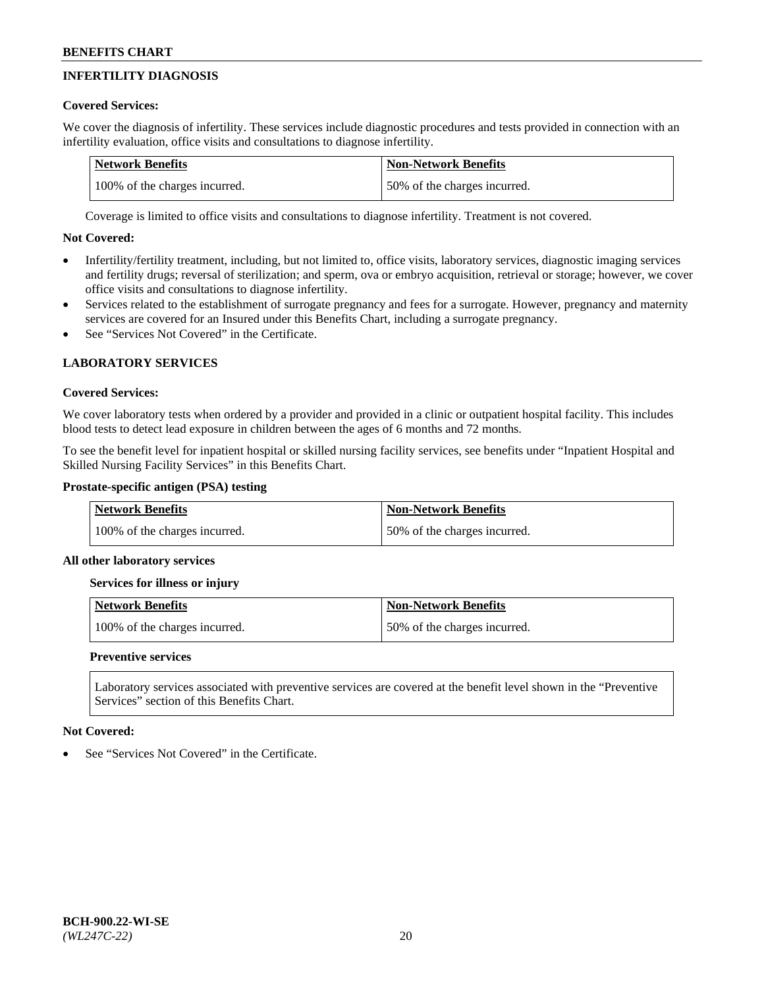# **INFERTILITY DIAGNOSIS**

# **Covered Services:**

We cover the diagnosis of infertility. These services include diagnostic procedures and tests provided in connection with an infertility evaluation, office visits and consultations to diagnose infertility.

| <b>Network Benefits</b>       | <b>Non-Network Benefits</b>  |
|-------------------------------|------------------------------|
| 100% of the charges incurred. | 50% of the charges incurred. |

Coverage is limited to office visits and consultations to diagnose infertility. Treatment is not covered.

# **Not Covered:**

- Infertility/fertility treatment, including, but not limited to, office visits, laboratory services, diagnostic imaging services and fertility drugs; reversal of sterilization; and sperm, ova or embryo acquisition, retrieval or storage; however, we cover office visits and consultations to diagnose infertility.
- Services related to the establishment of surrogate pregnancy and fees for a surrogate. However, pregnancy and maternity services are covered for an Insured under this Benefits Chart, including a surrogate pregnancy.
- See "Services Not Covered" in the Certificate.

# **LABORATORY SERVICES**

# **Covered Services:**

We cover laboratory tests when ordered by a provider and provided in a clinic or outpatient hospital facility. This includes blood tests to detect lead exposure in children between the ages of 6 months and 72 months.

To see the benefit level for inpatient hospital or skilled nursing facility services, see benefits under "Inpatient Hospital and Skilled Nursing Facility Services" in this Benefits Chart.

# **Prostate-specific antigen (PSA) testing**

| <b>Network Benefits</b>       | <b>Non-Network Benefits</b>  |
|-------------------------------|------------------------------|
| 100% of the charges incurred. | 50% of the charges incurred. |

# **All other laboratory services**

**Services for illness or injury**

| <b>Network Benefits</b>       | <b>Non-Network Benefits</b>  |
|-------------------------------|------------------------------|
| 100% of the charges incurred. | 50% of the charges incurred. |

# **Preventive services**

Laboratory services associated with preventive services are covered at the benefit level shown in the "Preventive Services" section of this Benefits Chart.

# **Not Covered:**

See "Services Not Covered" in the Certificate.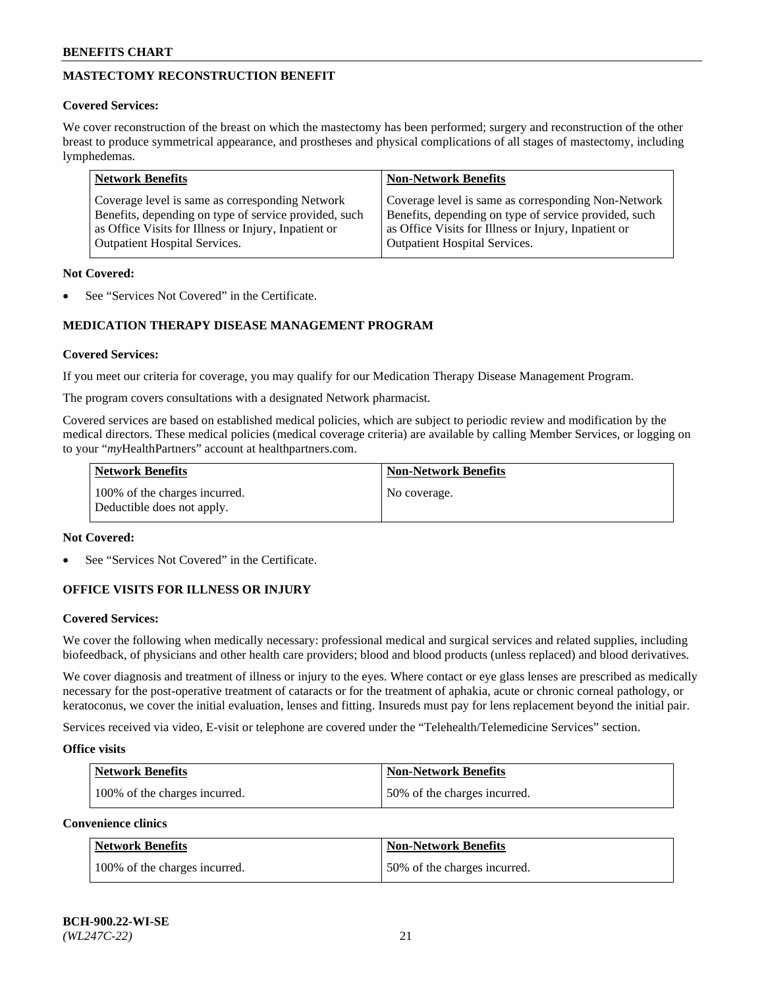# **MASTECTOMY RECONSTRUCTION BENEFIT**

# **Covered Services:**

We cover reconstruction of the breast on which the mastectomy has been performed; surgery and reconstruction of the other breast to produce symmetrical appearance, and prostheses and physical complications of all stages of mastectomy, including lymphedemas.

| <b>Network Benefits</b>                               | <b>Non-Network Benefits</b>                           |
|-------------------------------------------------------|-------------------------------------------------------|
| Coverage level is same as corresponding Network       | Coverage level is same as corresponding Non-Network   |
| Benefits, depending on type of service provided, such | Benefits, depending on type of service provided, such |
| as Office Visits for Illness or Injury, Inpatient or  | as Office Visits for Illness or Injury, Inpatient or  |
| <b>Outpatient Hospital Services.</b>                  | <b>Outpatient Hospital Services.</b>                  |

### **Not Covered:**

See "Services Not Covered" in the Certificate.

# **MEDICATION THERAPY DISEASE MANAGEMENT PROGRAM**

# **Covered Services:**

If you meet our criteria for coverage, you may qualify for our Medication Therapy Disease Management Program.

The program covers consultations with a designated Network pharmacist.

Covered services are based on established medical policies, which are subject to periodic review and modification by the medical directors. These medical policies (medical coverage criteria) are available by calling Member Services, or logging on to your "*my*HealthPartners" account at [healthpartners.com.](http://www.healthpartners.com/)

| Network Benefits                                            | <b>Non-Network Benefits</b> |
|-------------------------------------------------------------|-----------------------------|
| 100% of the charges incurred.<br>Deductible does not apply. | No coverage.                |

### **Not Covered:**

See "Services Not Covered" in the Certificate.

# **OFFICE VISITS FOR ILLNESS OR INJURY**

#### **Covered Services:**

We cover the following when medically necessary: professional medical and surgical services and related supplies, including biofeedback, of physicians and other health care providers; blood and blood products (unless replaced) and blood derivatives.

We cover diagnosis and treatment of illness or injury to the eyes. Where contact or eye glass lenses are prescribed as medically necessary for the post-operative treatment of cataracts or for the treatment of aphakia, acute or chronic corneal pathology, or keratoconus, we cover the initial evaluation, lenses and fitting. Insureds must pay for lens replacement beyond the initial pair.

Services received via video, E-visit or telephone are covered under the "Telehealth/Telemedicine Services" section.

#### **Office visits**

| <b>Network Benefits</b>       | <b>Non-Network Benefits</b>  |
|-------------------------------|------------------------------|
| 100% of the charges incurred. | 50% of the charges incurred. |

**Convenience clinics**

| <b>Network Benefits</b>       | <b>Non-Network Benefits</b>   |
|-------------------------------|-------------------------------|
| 100% of the charges incurred. | 150% of the charges incurred. |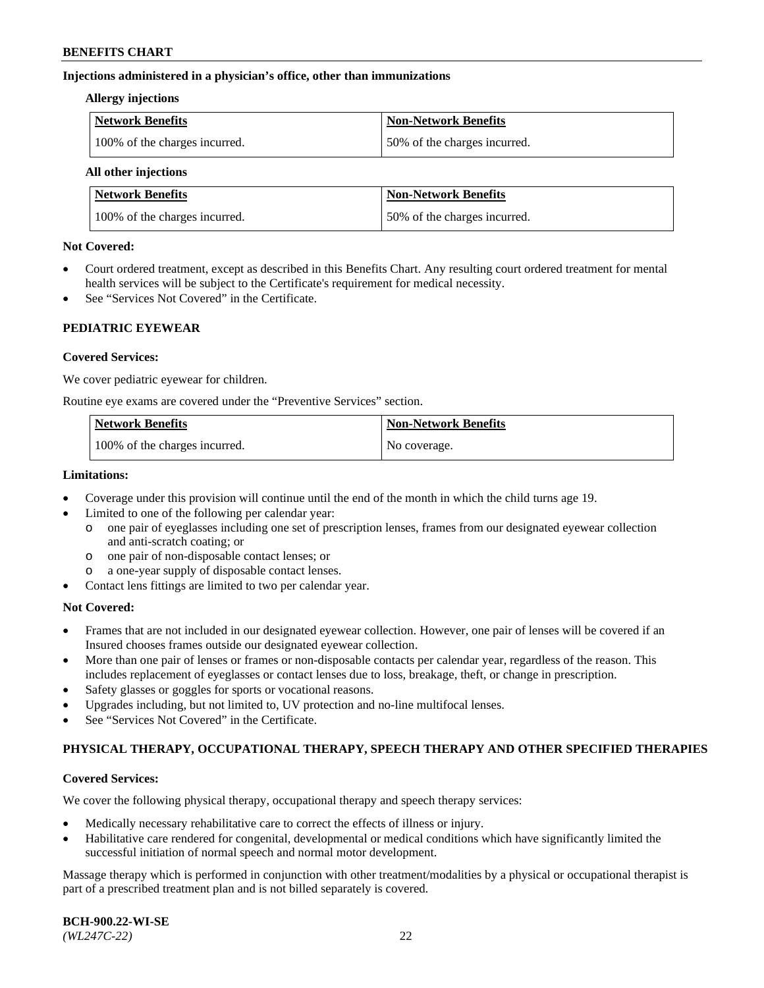### **Injections administered in a physician's office, other than immunizations**

#### **Allergy injections**

| Network Benefits              | Non-Network Benefits         |
|-------------------------------|------------------------------|
| 100% of the charges incurred. | 50% of the charges incurred. |

#### **All other injections**

| <b>Network Benefits</b>       | <b>Non-Network Benefits</b>  |
|-------------------------------|------------------------------|
| 100% of the charges incurred. | 50% of the charges incurred. |

### **Not Covered:**

- Court ordered treatment, except as described in this Benefits Chart. Any resulting court ordered treatment for mental health services will be subject to the Certificate's requirement for medical necessity.
- See "Services Not Covered" in the Certificate.

# **PEDIATRIC EYEWEAR**

# **Covered Services:**

We cover pediatric eyewear for children.

Routine eye exams are covered under the "Preventive Services" section.

| Network Benefits              | <b>Non-Network Benefits</b> |
|-------------------------------|-----------------------------|
| 100% of the charges incurred. | No coverage.                |

### **Limitations:**

- Coverage under this provision will continue until the end of the month in which the child turns age 19.
- Limited to one of the following per calendar year:
	- o one pair of eyeglasses including one set of prescription lenses, frames from our designated eyewear collection and anti-scratch coating; or
	- o one pair of non-disposable contact lenses; or
	- o a one-year supply of disposable contact lenses.
- Contact lens fittings are limited to two per calendar year.

# **Not Covered:**

- Frames that are not included in our designated eyewear collection. However, one pair of lenses will be covered if an Insured chooses frames outside our designated eyewear collection.
- More than one pair of lenses or frames or non-disposable contacts per calendar year, regardless of the reason. This includes replacement of eyeglasses or contact lenses due to loss, breakage, theft, or change in prescription.
- Safety glasses or goggles for sports or vocational reasons.
- Upgrades including, but not limited to, UV protection and no-line multifocal lenses.
- See "Services Not Covered" in the Certificate.

# **PHYSICAL THERAPY, OCCUPATIONAL THERAPY, SPEECH THERAPY AND OTHER SPECIFIED THERAPIES**

# **Covered Services:**

We cover the following physical therapy, occupational therapy and speech therapy services:

- Medically necessary rehabilitative care to correct the effects of illness or injury.
- Habilitative care rendered for congenital, developmental or medical conditions which have significantly limited the successful initiation of normal speech and normal motor development.

Massage therapy which is performed in conjunction with other treatment/modalities by a physical or occupational therapist is part of a prescribed treatment plan and is not billed separately is covered.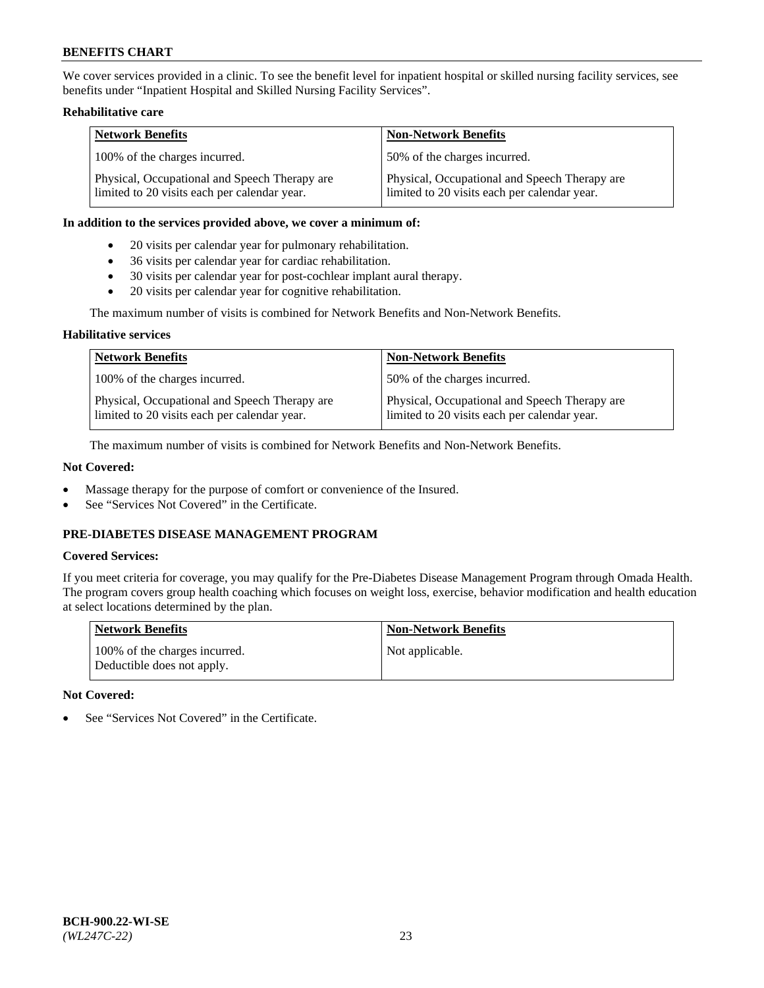We cover services provided in a clinic. To see the benefit level for inpatient hospital or skilled nursing facility services, see benefits under "Inpatient Hospital and Skilled Nursing Facility Services".

# **Rehabilitative care**

| <b>Network Benefits</b>                                                                       | <b>Non-Network Benefits</b>                                                                   |
|-----------------------------------------------------------------------------------------------|-----------------------------------------------------------------------------------------------|
| 100% of the charges incurred.                                                                 | 50% of the charges incurred.                                                                  |
| Physical, Occupational and Speech Therapy are<br>limited to 20 visits each per calendar year. | Physical, Occupational and Speech Therapy are<br>limited to 20 visits each per calendar year. |

### **In addition to the services provided above, we cover a minimum of:**

- 20 visits per calendar year for pulmonary rehabilitation.
- 36 visits per calendar year for cardiac rehabilitation.
- 30 visits per calendar year for post-cochlear implant aural therapy.
- 20 visits per calendar year for cognitive rehabilitation.

The maximum number of visits is combined for Network Benefits and Non-Network Benefits.

# **Habilitative services**

| <b>Network Benefits</b>                                                                       | <b>Non-Network Benefits</b>                                                                   |
|-----------------------------------------------------------------------------------------------|-----------------------------------------------------------------------------------------------|
| 100% of the charges incurred.                                                                 | 50% of the charges incurred.                                                                  |
| Physical, Occupational and Speech Therapy are<br>limited to 20 visits each per calendar year. | Physical, Occupational and Speech Therapy are<br>limited to 20 visits each per calendar year. |

The maximum number of visits is combined for Network Benefits and Non-Network Benefits.

# **Not Covered:**

- Massage therapy for the purpose of comfort or convenience of the Insured.
- See "Services Not Covered" in the Certificate.

# **PRE-DIABETES DISEASE MANAGEMENT PROGRAM**

# **Covered Services:**

If you meet criteria for coverage, you may qualify for the Pre-Diabetes Disease Management Program through Omada Health. The program covers group health coaching which focuses on weight loss, exercise, behavior modification and health education at select locations determined by the plan.

| <b>Network Benefits</b>                                     | <b>Non-Network Benefits</b> |
|-------------------------------------------------------------|-----------------------------|
| 100% of the charges incurred.<br>Deductible does not apply. | Not applicable.             |

# **Not Covered:**

See "Services Not Covered" in the Certificate.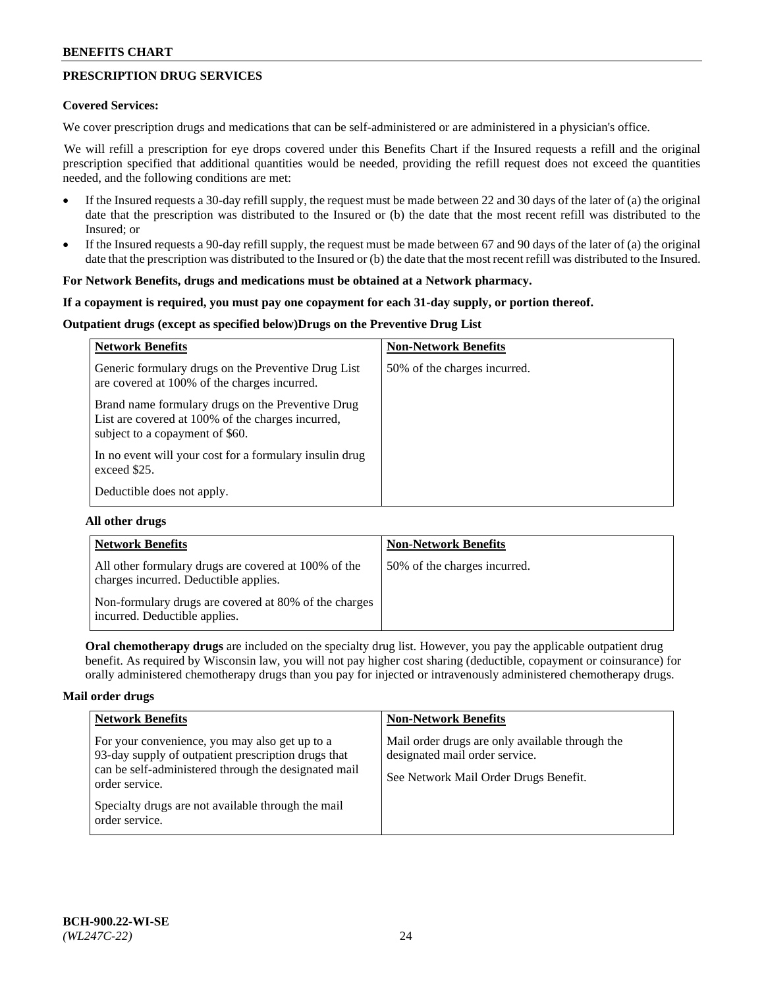# **PRESCRIPTION DRUG SERVICES**

### **Covered Services:**

We cover prescription drugs and medications that can be self-administered or are administered in a physician's office.

We will refill a prescription for eye drops covered under this Benefits Chart if the Insured requests a refill and the original prescription specified that additional quantities would be needed, providing the refill request does not exceed the quantities needed, and the following conditions are met:

- If the Insured requests a 30-day refill supply, the request must be made between 22 and 30 days of the later of (a) the original date that the prescription was distributed to the Insured or (b) the date that the most recent refill was distributed to the Insured; or
- If the Insured requests a 90-day refill supply, the request must be made between 67 and 90 days of the later of (a) the original date that the prescription was distributed to the Insured or (b) the date that the most recent refill was distributed to the Insured.

### **For Network Benefits, drugs and medications must be obtained at a Network pharmacy.**

### **If a copayment is required, you must pay one copayment for each 31-day supply, or portion thereof.**

# **Outpatient drugs (except as specified below)Drugs on the Preventive Drug List**

| <b>Network Benefits</b>                                                                                                                   | <b>Non-Network Benefits</b>  |
|-------------------------------------------------------------------------------------------------------------------------------------------|------------------------------|
| Generic formulary drugs on the Preventive Drug List<br>are covered at 100% of the charges incurred.                                       | 50% of the charges incurred. |
| Brand name formulary drugs on the Preventive Drug<br>List are covered at 100% of the charges incurred,<br>subject to a copayment of \$60. |                              |
| In no event will your cost for a formulary insulin drug<br>exceed \$25.                                                                   |                              |
| Deductible does not apply.                                                                                                                |                              |

#### **All other drugs**

| <b>Network Benefits</b>                                                                       | <b>Non-Network Benefits</b>  |
|-----------------------------------------------------------------------------------------------|------------------------------|
| All other formulary drugs are covered at 100% of the<br>charges incurred. Deductible applies. | 50% of the charges incurred. |
| Non-formulary drugs are covered at 80% of the charges<br>incurred. Deductible applies.        |                              |

**Oral chemotherapy drugs** are included on the specialty drug list. However, you pay the applicable outpatient drug benefit. As required by Wisconsin law, you will not pay higher cost sharing (deductible, copayment or coinsurance) for orally administered chemotherapy drugs than you pay for injected or intravenously administered chemotherapy drugs.

#### **Mail order drugs**

| <b>Network Benefits</b>                                                                                                                                                         | <b>Non-Network Benefits</b>                                                                                                |
|---------------------------------------------------------------------------------------------------------------------------------------------------------------------------------|----------------------------------------------------------------------------------------------------------------------------|
| For your convenience, you may also get up to a<br>93-day supply of outpatient prescription drugs that<br>can be self-administered through the designated mail<br>order service. | Mail order drugs are only available through the<br>designated mail order service.<br>See Network Mail Order Drugs Benefit. |
| Specialty drugs are not available through the mail<br>order service.                                                                                                            |                                                                                                                            |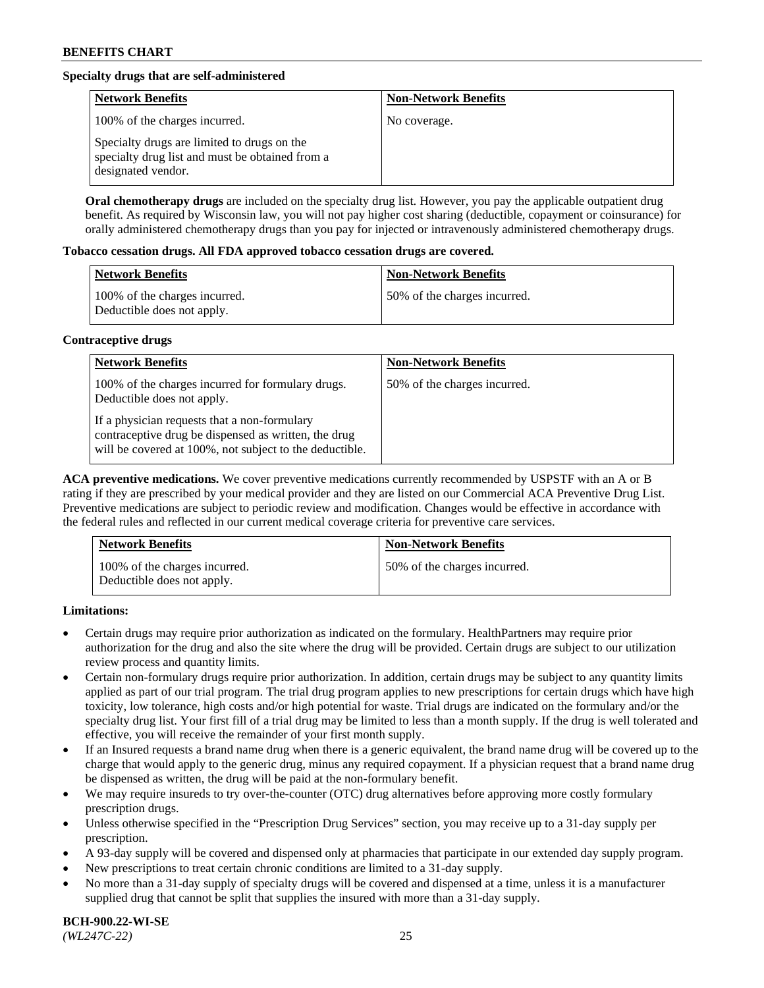# **Specialty drugs that are self-administered**

| <b>Network Benefits</b>                                                                                              | <b>Non-Network Benefits</b> |
|----------------------------------------------------------------------------------------------------------------------|-----------------------------|
| 100% of the charges incurred.                                                                                        | No coverage.                |
| Specialty drugs are limited to drugs on the<br>specialty drug list and must be obtained from a<br>designated vendor. |                             |

**Oral chemotherapy drugs** are included on the specialty drug list. However, you pay the applicable outpatient drug benefit. As required by Wisconsin law, you will not pay higher cost sharing (deductible, copayment or coinsurance) for orally administered chemotherapy drugs than you pay for injected or intravenously administered chemotherapy drugs.

### **Tobacco cessation drugs. All FDA approved tobacco cessation drugs are covered.**

| Network Benefits                                            | <b>Non-Network Benefits</b>   |
|-------------------------------------------------------------|-------------------------------|
| 100% of the charges incurred.<br>Deductible does not apply. | 150% of the charges incurred. |

# **Contraceptive drugs**

| <b>Network Benefits</b>                                                                                                                                         | <b>Non-Network Benefits</b>  |
|-----------------------------------------------------------------------------------------------------------------------------------------------------------------|------------------------------|
| 100% of the charges incurred for formulary drugs.<br>Deductible does not apply.                                                                                 | 50% of the charges incurred. |
| If a physician requests that a non-formulary<br>contraceptive drug be dispensed as written, the drug<br>will be covered at 100%, not subject to the deductible. |                              |

**ACA preventive medications.** We cover preventive medications currently recommended by USPSTF with an A or B rating if they are prescribed by your medical provider and they are listed on our Commercial ACA Preventive Drug List. Preventive medications are subject to periodic review and modification. Changes would be effective in accordance with the federal rules and reflected in our current medical coverage criteria for preventive care services.

| <b>Network Benefits</b>                                     | <b>Non-Network Benefits</b>  |
|-------------------------------------------------------------|------------------------------|
| 100% of the charges incurred.<br>Deductible does not apply. | 50% of the charges incurred. |

# **Limitations:**

- Certain drugs may require prior authorization as indicated on the formulary. HealthPartners may require prior authorization for the drug and also the site where the drug will be provided. Certain drugs are subject to our utilization review process and quantity limits.
- Certain non-formulary drugs require prior authorization. In addition, certain drugs may be subject to any quantity limits applied as part of our trial program. The trial drug program applies to new prescriptions for certain drugs which have high toxicity, low tolerance, high costs and/or high potential for waste. Trial drugs are indicated on the formulary and/or the specialty drug list. Your first fill of a trial drug may be limited to less than a month supply. If the drug is well tolerated and effective, you will receive the remainder of your first month supply.
- If an Insured requests a brand name drug when there is a generic equivalent, the brand name drug will be covered up to the charge that would apply to the generic drug, minus any required copayment. If a physician request that a brand name drug be dispensed as written, the drug will be paid at the non-formulary benefit.
- We may require insureds to try over-the-counter (OTC) drug alternatives before approving more costly formulary prescription drugs.
- Unless otherwise specified in the "Prescription Drug Services" section, you may receive up to a 31-day supply per prescription.
- A 93-day supply will be covered and dispensed only at pharmacies that participate in our extended day supply program.
- New prescriptions to treat certain chronic conditions are limited to a 31-day supply.
- No more than a 31-day supply of specialty drugs will be covered and dispensed at a time, unless it is a manufacturer supplied drug that cannot be split that supplies the insured with more than a 31-day supply.

**BCH-900.22-WI-SE**  *(WL247C-22)* 25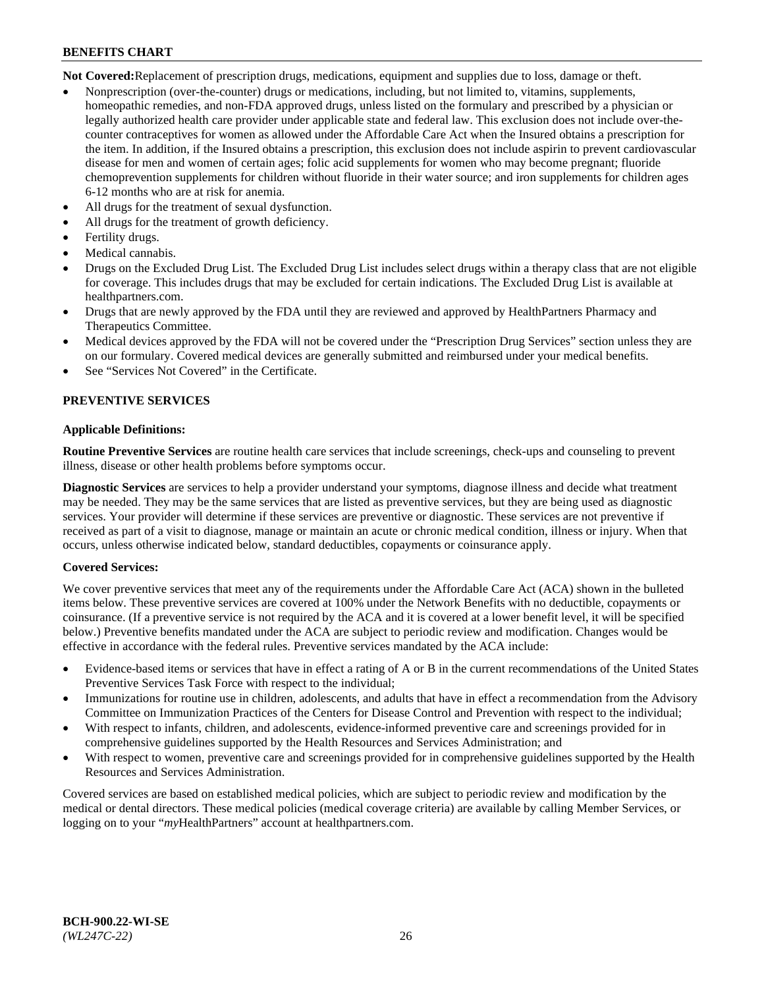**Not Covered:**Replacement of prescription drugs, medications, equipment and supplies due to loss, damage or theft.

- Nonprescription (over-the-counter) drugs or medications, including, but not limited to, vitamins, supplements, homeopathic remedies, and non-FDA approved drugs, unless listed on the formulary and prescribed by a physician or legally authorized health care provider under applicable state and federal law. This exclusion does not include over-thecounter contraceptives for women as allowed under the Affordable Care Act when the Insured obtains a prescription for the item. In addition, if the Insured obtains a prescription, this exclusion does not include aspirin to prevent cardiovascular disease for men and women of certain ages; folic acid supplements for women who may become pregnant; fluoride chemoprevention supplements for children without fluoride in their water source; and iron supplements for children ages 6-12 months who are at risk for anemia.
- All drugs for the treatment of sexual dysfunction.
- All drugs for the treatment of growth deficiency.
- Fertility drugs.
- Medical cannabis.
- Drugs on the Excluded Drug List. The Excluded Drug List includes select drugs within a therapy class that are not eligible for coverage. This includes drugs that may be excluded for certain indications. The Excluded Drug List is available at [healthpartners.com.](http://www.healthpartners.com/)
- Drugs that are newly approved by the FDA until they are reviewed and approved by HealthPartners Pharmacy and Therapeutics Committee.
- Medical devices approved by the FDA will not be covered under the "Prescription Drug Services" section unless they are on our formulary. Covered medical devices are generally submitted and reimbursed under your medical benefits.
- See "Services Not Covered" in the Certificate.

# **PREVENTIVE SERVICES**

### **Applicable Definitions:**

**Routine Preventive Services** are routine health care services that include screenings, check-ups and counseling to prevent illness, disease or other health problems before symptoms occur.

**Diagnostic Services** are services to help a provider understand your symptoms, diagnose illness and decide what treatment may be needed. They may be the same services that are listed as preventive services, but they are being used as diagnostic services. Your provider will determine if these services are preventive or diagnostic. These services are not preventive if received as part of a visit to diagnose, manage or maintain an acute or chronic medical condition, illness or injury. When that occurs, unless otherwise indicated below, standard deductibles, copayments or coinsurance apply.

# **Covered Services:**

We cover preventive services that meet any of the requirements under the Affordable Care Act (ACA) shown in the bulleted items below. These preventive services are covered at 100% under the Network Benefits with no deductible, copayments or coinsurance. (If a preventive service is not required by the ACA and it is covered at a lower benefit level, it will be specified below.) Preventive benefits mandated under the ACA are subject to periodic review and modification. Changes would be effective in accordance with the federal rules. Preventive services mandated by the ACA include:

- Evidence-based items or services that have in effect a rating of A or B in the current recommendations of the United States Preventive Services Task Force with respect to the individual;
- Immunizations for routine use in children, adolescents, and adults that have in effect a recommendation from the Advisory Committee on Immunization Practices of the Centers for Disease Control and Prevention with respect to the individual;
- With respect to infants, children, and adolescents, evidence-informed preventive care and screenings provided for in comprehensive guidelines supported by the Health Resources and Services Administration; and
- With respect to women, preventive care and screenings provided for in comprehensive guidelines supported by the Health Resources and Services Administration.

Covered services are based on established medical policies, which are subject to periodic review and modification by the medical or dental directors. These medical policies (medical coverage criteria) are available by calling Member Services, or logging on to your "*my*HealthPartners" account at [healthpartners.com.](https://www.healthpartners.com/hp/index.html)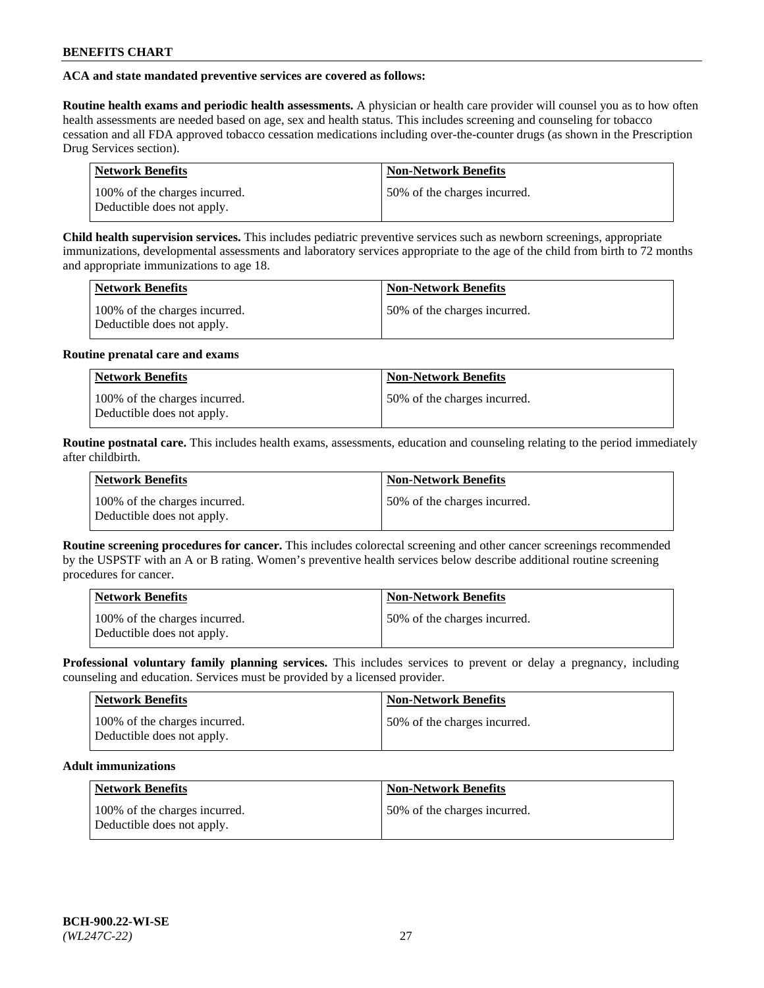# **ACA and state mandated preventive services are covered as follows:**

**Routine health exams and periodic health assessments.** A physician or health care provider will counsel you as to how often health assessments are needed based on age, sex and health status. This includes screening and counseling for tobacco cessation and all FDA approved tobacco cessation medications including over-the-counter drugs (as shown in the Prescription Drug Services section).

| <b>Network Benefits</b>                                     | <b>Non-Network Benefits</b>   |
|-------------------------------------------------------------|-------------------------------|
| 100% of the charges incurred.<br>Deductible does not apply. | 150% of the charges incurred. |

**Child health supervision services.** This includes pediatric preventive services such as newborn screenings, appropriate immunizations, developmental assessments and laboratory services appropriate to the age of the child from birth to 72 months and appropriate immunizations to age 18.

| <b>Network Benefits</b>                                     | <b>Non-Network Benefits</b>  |
|-------------------------------------------------------------|------------------------------|
| 100% of the charges incurred.<br>Deductible does not apply. | 50% of the charges incurred. |

# **Routine prenatal care and exams**

| <b>Network Benefits</b>                                     | <b>Non-Network Benefits</b>  |
|-------------------------------------------------------------|------------------------------|
| 100% of the charges incurred.<br>Deductible does not apply. | 50% of the charges incurred. |

**Routine postnatal care.** This includes health exams, assessments, education and counseling relating to the period immediately after childbirth.

| <b>Network Benefits</b>                                     | <b>Non-Network Benefits</b>  |
|-------------------------------------------------------------|------------------------------|
| 100% of the charges incurred.<br>Deductible does not apply. | 50% of the charges incurred. |

**Routine screening procedures for cancer.** This includes colorectal screening and other cancer screenings recommended by the USPSTF with an A or B rating. Women's preventive health services below describe additional routine screening procedures for cancer.

| <b>Network Benefits</b>                                     | <b>Non-Network Benefits</b>   |
|-------------------------------------------------------------|-------------------------------|
| 100% of the charges incurred.<br>Deductible does not apply. | 150% of the charges incurred. |

**Professional voluntary family planning services.** This includes services to prevent or delay a pregnancy, including counseling and education. Services must be provided by a licensed provider.

| <b>Network Benefits</b>                                     | <b>Non-Network Benefits</b>  |
|-------------------------------------------------------------|------------------------------|
| 100% of the charges incurred.<br>Deductible does not apply. | 50% of the charges incurred. |

# **Adult immunizations**

| Network Benefits                                            | <b>Non-Network Benefits</b>  |
|-------------------------------------------------------------|------------------------------|
| 100% of the charges incurred.<br>Deductible does not apply. | 50% of the charges incurred. |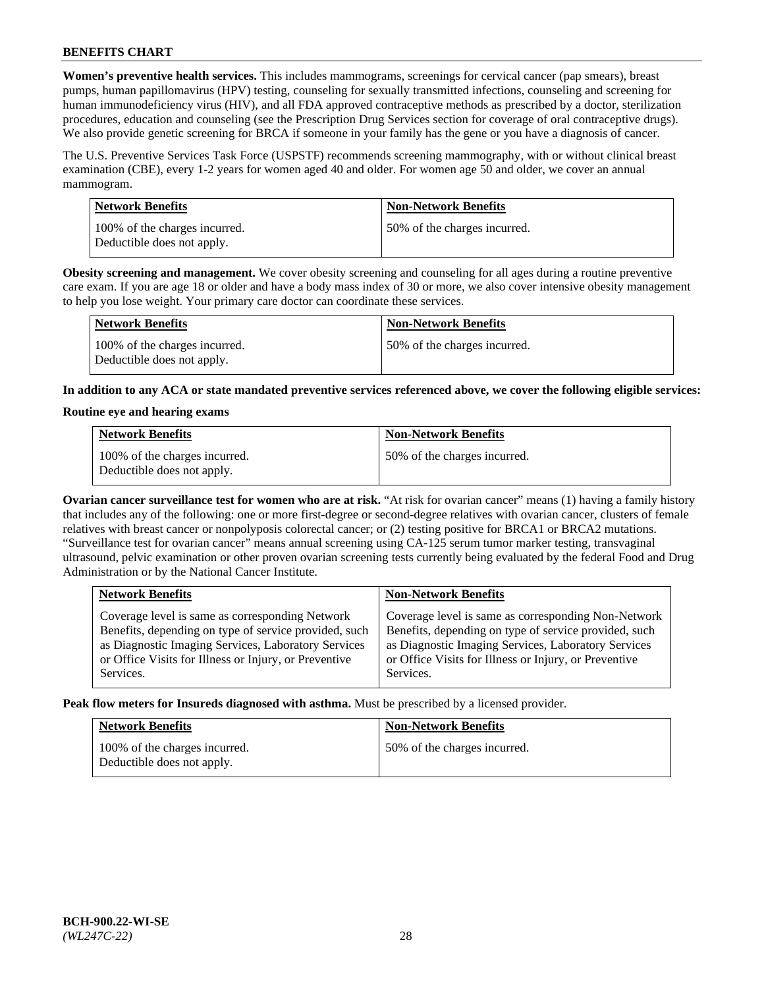**Women's preventive health services.** This includes mammograms, screenings for cervical cancer (pap smears), breast pumps, human papillomavirus (HPV) testing, counseling for sexually transmitted infections, counseling and screening for human immunodeficiency virus (HIV), and all FDA approved contraceptive methods as prescribed by a doctor, sterilization procedures, education and counseling (see the Prescription Drug Services section for coverage of oral contraceptive drugs). We also provide genetic screening for BRCA if someone in your family has the gene or you have a diagnosis of cancer.

The U.S. Preventive Services Task Force (USPSTF) recommends screening mammography, with or without clinical breast examination (CBE), every 1-2 years for women aged 40 and older. For women age 50 and older, we cover an annual mammogram.

| <b>Network Benefits</b>                                     | <b>Non-Network Benefits</b>  |
|-------------------------------------------------------------|------------------------------|
| 100% of the charges incurred.<br>Deductible does not apply. | 50% of the charges incurred. |

**Obesity screening and management.** We cover obesity screening and counseling for all ages during a routine preventive care exam. If you are age 18 or older and have a body mass index of 30 or more, we also cover intensive obesity management to help you lose weight. Your primary care doctor can coordinate these services.

| Network Benefits                                            | <b>Non-Network Benefits</b>  |
|-------------------------------------------------------------|------------------------------|
| 100% of the charges incurred.<br>Deductible does not apply. | 50% of the charges incurred. |

**In addition to any ACA or state mandated preventive services referenced above, we cover the following eligible services:**

### **Routine eye and hearing exams**

| <b>Network Benefits</b>                                     | <b>Non-Network Benefits</b>  |
|-------------------------------------------------------------|------------------------------|
| 100% of the charges incurred.<br>Deductible does not apply. | 50% of the charges incurred. |

**Ovarian cancer surveillance test for women who are at risk.** "At risk for ovarian cancer" means (1) having a family history that includes any of the following: one or more first-degree or second-degree relatives with ovarian cancer, clusters of female relatives with breast cancer or nonpolyposis colorectal cancer; or (2) testing positive for BRCA1 or BRCA2 mutations. "Surveillance test for ovarian cancer" means annual screening using CA-125 serum tumor marker testing, transvaginal ultrasound, pelvic examination or other proven ovarian screening tests currently being evaluated by the federal Food and Drug Administration or by the National Cancer Institute.

| <b>Network Benefits</b>                               | <b>Non-Network Benefits</b>                           |
|-------------------------------------------------------|-------------------------------------------------------|
| Coverage level is same as corresponding Network       | Coverage level is same as corresponding Non-Network   |
| Benefits, depending on type of service provided, such | Benefits, depending on type of service provided, such |
| as Diagnostic Imaging Services, Laboratory Services   | as Diagnostic Imaging Services, Laboratory Services   |
| or Office Visits for Illness or Injury, or Preventive | or Office Visits for Illness or Injury, or Preventive |
| Services.                                             | Services.                                             |

**Peak flow meters for Insureds diagnosed with asthma.** Must be prescribed by a licensed provider.

| <b>Network Benefits</b>                                     | <b>Non-Network Benefits</b>  |
|-------------------------------------------------------------|------------------------------|
| 100% of the charges incurred.<br>Deductible does not apply. | 50% of the charges incurred. |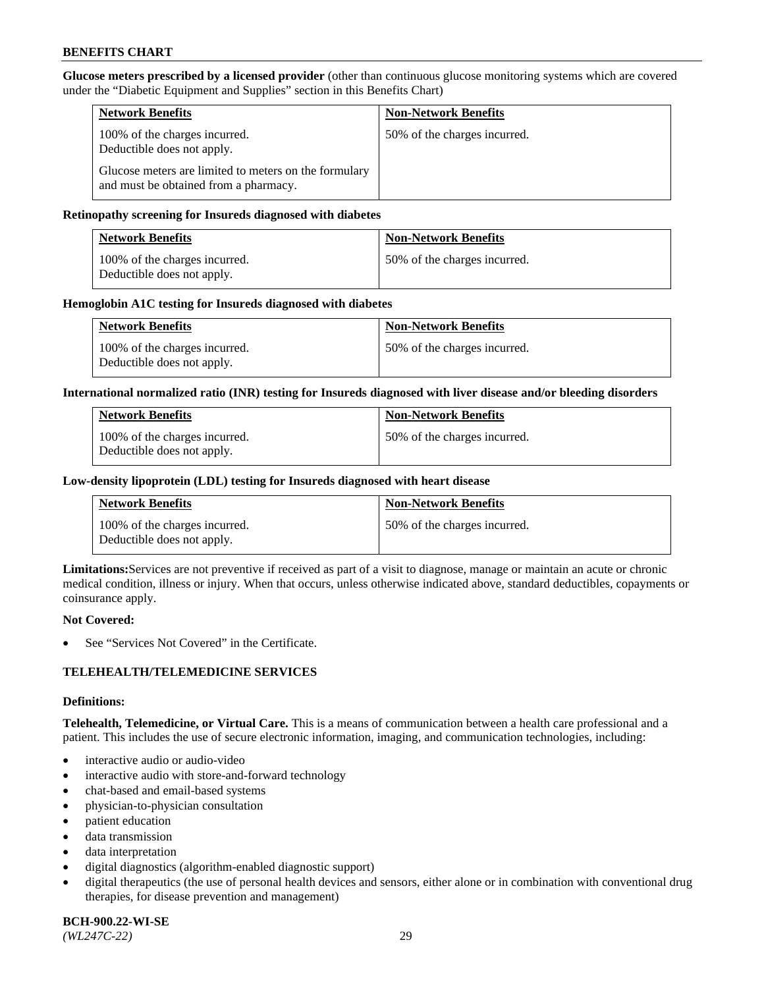**Glucose meters prescribed by a licensed provider** (other than continuous glucose monitoring systems which are covered under the "Diabetic Equipment and Supplies" section in this Benefits Chart)

| <b>Network Benefits</b>                                                                        | <b>Non-Network Benefits</b>  |
|------------------------------------------------------------------------------------------------|------------------------------|
| 100% of the charges incurred.<br>Deductible does not apply.                                    | 50% of the charges incurred. |
| Glucose meters are limited to meters on the formulary<br>and must be obtained from a pharmacy. |                              |

### **Retinopathy screening for Insureds diagnosed with diabetes**

| <b>Network Benefits</b>                                     | <b>Non-Network Benefits</b>  |
|-------------------------------------------------------------|------------------------------|
| 100% of the charges incurred.<br>Deductible does not apply. | 50% of the charges incurred. |

### **Hemoglobin A1C testing for Insureds diagnosed with diabetes**

| <b>Network Benefits</b>                                     | <b>Non-Network Benefits</b>  |
|-------------------------------------------------------------|------------------------------|
| 100% of the charges incurred.<br>Deductible does not apply. | 50% of the charges incurred. |

### **International normalized ratio (INR) testing for Insureds diagnosed with liver disease and/or bleeding disorders**

| <b>Network Benefits</b>                                     | <b>Non-Network Benefits</b>  |
|-------------------------------------------------------------|------------------------------|
| 100% of the charges incurred.<br>Deductible does not apply. | 50% of the charges incurred. |

### **Low-density lipoprotein (LDL) testing for Insureds diagnosed with heart disease**

| <b>Network Benefits</b>                                     | <b>Non-Network Benefits</b>  |
|-------------------------------------------------------------|------------------------------|
| 100% of the charges incurred.<br>Deductible does not apply. | 50% of the charges incurred. |

**Limitations:**Services are not preventive if received as part of a visit to diagnose, manage or maintain an acute or chronic medical condition, illness or injury. When that occurs, unless otherwise indicated above, standard deductibles, copayments or coinsurance apply.

#### **Not Covered:**

See "Services Not Covered" in the Certificate.

# **TELEHEALTH/TELEMEDICINE SERVICES**

#### **Definitions:**

**Telehealth, Telemedicine, or Virtual Care.** This is a means of communication between a health care professional and a patient. This includes the use of secure electronic information, imaging, and communication technologies, including:

- interactive audio or audio-video
- interactive audio with store-and-forward technology
- chat-based and email-based systems
- physician-to-physician consultation
- patient education
- data transmission
- data interpretation
- digital diagnostics (algorithm-enabled diagnostic support)
- digital therapeutics (the use of personal health devices and sensors, either alone or in combination with conventional drug therapies, for disease prevention and management)

**BCH-900.22-WI-SE**  *(WL247C-22)* 29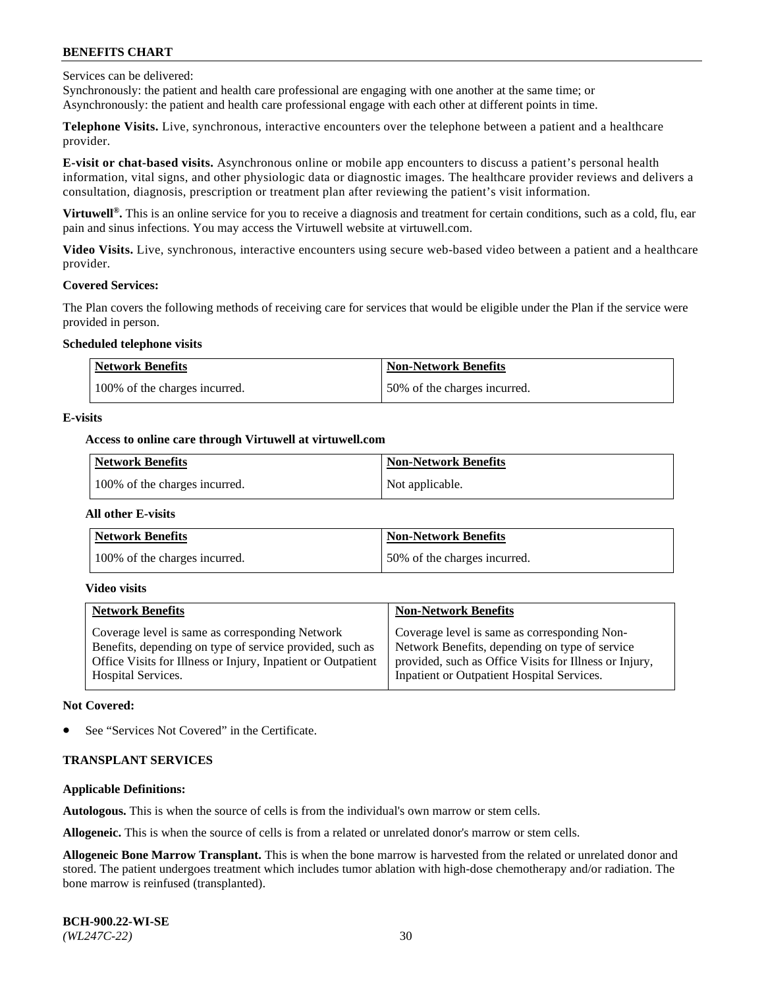Services can be delivered:

Synchronously: the patient and health care professional are engaging with one another at the same time; or Asynchronously: the patient and health care professional engage with each other at different points in time.

**Telephone Visits.** Live, synchronous, interactive encounters over the telephone between a patient and a healthcare provider.

**E-visit or chat-based visits.** Asynchronous online or mobile app encounters to discuss a patient's personal health information, vital signs, and other physiologic data or diagnostic images. The healthcare provider reviews and delivers a consultation, diagnosis, prescription or treatment plan after reviewing the patient's visit information.

**Virtuwell®.** This is an online service for you to receive a diagnosis and treatment for certain conditions, such as a cold, flu, ear pain and sinus infections. You may access the Virtuwell website at [virtuwell.com.](https://www.virtuwell.com/)

**Video Visits.** Live, synchronous, interactive encounters using secure web-based video between a patient and a healthcare provider.

#### **Covered Services:**

The Plan covers the following methods of receiving care for services that would be eligible under the Plan if the service were provided in person.

### **Scheduled telephone visits**

| <b>Network Benefits</b>       | <b>Non-Network Benefits</b>  |
|-------------------------------|------------------------------|
| 100% of the charges incurred. | 50% of the charges incurred. |

### **E-visits**

### **Access to online care through Virtuwell at [virtuwell.com](https://www.virtuwell.com/)**

| Network Benefits              | <b>Non-Network Benefits</b> |
|-------------------------------|-----------------------------|
| 100% of the charges incurred. | Not applicable.             |

#### **All other E-visits**

| <b>Network Benefits</b>       | <b>Non-Network Benefits</b>  |
|-------------------------------|------------------------------|
| 100% of the charges incurred. | 50% of the charges incurred. |

#### **Video visits**

| <b>Network Benefits</b>                                      | <b>Non-Network Benefits</b>                            |
|--------------------------------------------------------------|--------------------------------------------------------|
| Coverage level is same as corresponding Network              | Coverage level is same as corresponding Non-           |
| Benefits, depending on type of service provided, such as     | Network Benefits, depending on type of service         |
| Office Visits for Illness or Injury, Inpatient or Outpatient | provided, such as Office Visits for Illness or Injury, |
| <b>Hospital Services.</b>                                    | Inpatient or Outpatient Hospital Services.             |

#### **Not Covered:**

See "Services Not Covered" in the Certificate.

# **TRANSPLANT SERVICES**

# **Applicable Definitions:**

**Autologous.** This is when the source of cells is from the individual's own marrow or stem cells.

**Allogeneic.** This is when the source of cells is from a related or unrelated donor's marrow or stem cells.

**Allogeneic Bone Marrow Transplant.** This is when the bone marrow is harvested from the related or unrelated donor and stored. The patient undergoes treatment which includes tumor ablation with high-dose chemotherapy and/or radiation. The bone marrow is reinfused (transplanted).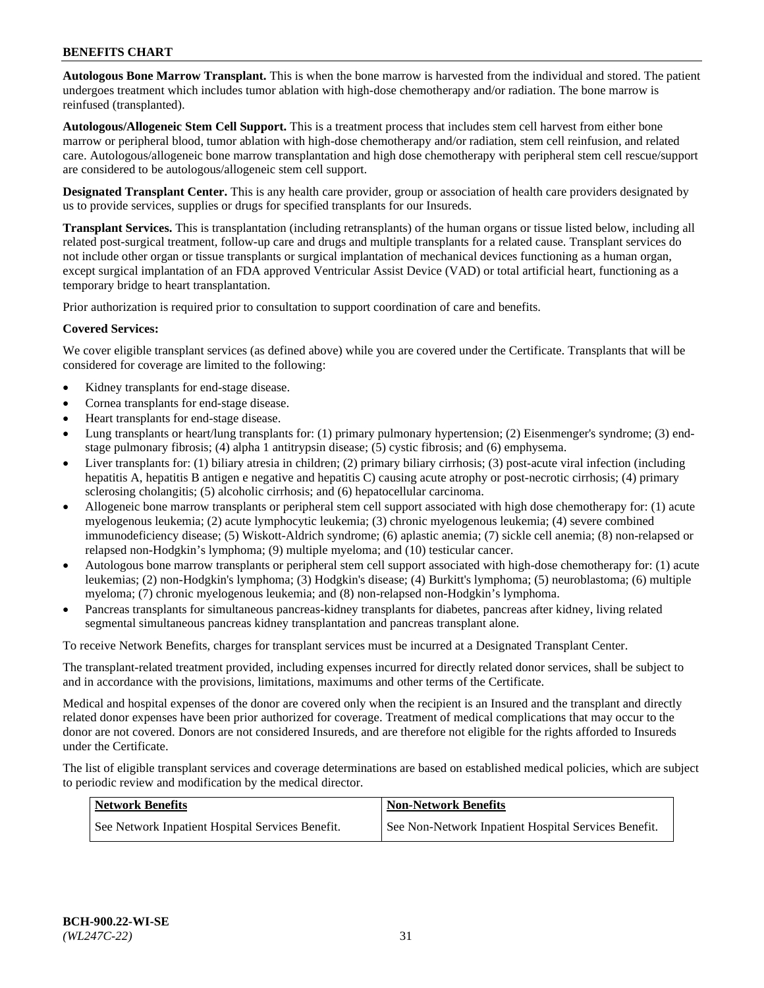**Autologous Bone Marrow Transplant.** This is when the bone marrow is harvested from the individual and stored. The patient undergoes treatment which includes tumor ablation with high-dose chemotherapy and/or radiation. The bone marrow is reinfused (transplanted).

**Autologous/Allogeneic Stem Cell Support.** This is a treatment process that includes stem cell harvest from either bone marrow or peripheral blood, tumor ablation with high-dose chemotherapy and/or radiation, stem cell reinfusion, and related care. Autologous/allogeneic bone marrow transplantation and high dose chemotherapy with peripheral stem cell rescue/support are considered to be autologous/allogeneic stem cell support.

**Designated Transplant Center.** This is any health care provider, group or association of health care providers designated by us to provide services, supplies or drugs for specified transplants for our Insureds.

**Transplant Services.** This is transplantation (including retransplants) of the human organs or tissue listed below, including all related post-surgical treatment, follow-up care and drugs and multiple transplants for a related cause. Transplant services do not include other organ or tissue transplants or surgical implantation of mechanical devices functioning as a human organ, except surgical implantation of an FDA approved Ventricular Assist Device (VAD) or total artificial heart, functioning as a temporary bridge to heart transplantation.

Prior authorization is required prior to consultation to support coordination of care and benefits.

### **Covered Services:**

We cover eligible transplant services (as defined above) while you are covered under the Certificate. Transplants that will be considered for coverage are limited to the following:

- Kidney transplants for end-stage disease.
- Cornea transplants for end-stage disease.
- Heart transplants for end-stage disease.
- Lung transplants or heart/lung transplants for: (1) primary pulmonary hypertension; (2) Eisenmenger's syndrome; (3) endstage pulmonary fibrosis; (4) alpha 1 antitrypsin disease; (5) cystic fibrosis; and (6) emphysema.
- Liver transplants for: (1) biliary atresia in children; (2) primary biliary cirrhosis; (3) post-acute viral infection (including hepatitis A, hepatitis B antigen e negative and hepatitis C) causing acute atrophy or post-necrotic cirrhosis; (4) primary sclerosing cholangitis; (5) alcoholic cirrhosis; and (6) hepatocellular carcinoma.
- Allogeneic bone marrow transplants or peripheral stem cell support associated with high dose chemotherapy for: (1) acute myelogenous leukemia; (2) acute lymphocytic leukemia; (3) chronic myelogenous leukemia; (4) severe combined immunodeficiency disease; (5) Wiskott-Aldrich syndrome; (6) aplastic anemia; (7) sickle cell anemia; (8) non-relapsed or relapsed non-Hodgkin's lymphoma; (9) multiple myeloma; and (10) testicular cancer.
- Autologous bone marrow transplants or peripheral stem cell support associated with high-dose chemotherapy for: (1) acute leukemias; (2) non-Hodgkin's lymphoma; (3) Hodgkin's disease; (4) Burkitt's lymphoma; (5) neuroblastoma; (6) multiple myeloma; (7) chronic myelogenous leukemia; and (8) non-relapsed non-Hodgkin's lymphoma.
- Pancreas transplants for simultaneous pancreas-kidney transplants for diabetes, pancreas after kidney, living related segmental simultaneous pancreas kidney transplantation and pancreas transplant alone.

To receive Network Benefits, charges for transplant services must be incurred at a Designated Transplant Center.

The transplant-related treatment provided, including expenses incurred for directly related donor services, shall be subject to and in accordance with the provisions, limitations, maximums and other terms of the Certificate.

Medical and hospital expenses of the donor are covered only when the recipient is an Insured and the transplant and directly related donor expenses have been prior authorized for coverage. Treatment of medical complications that may occur to the donor are not covered. Donors are not considered Insureds, and are therefore not eligible for the rights afforded to Insureds under the Certificate.

The list of eligible transplant services and coverage determinations are based on established medical policies, which are subject to periodic review and modification by the medical director.

| Network Benefits                                 | <b>Non-Network Benefits</b>                          |
|--------------------------------------------------|------------------------------------------------------|
| See Network Inpatient Hospital Services Benefit. | See Non-Network Inpatient Hospital Services Benefit. |